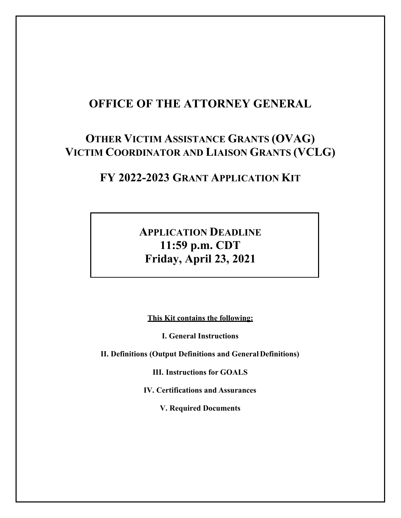# **OFFICE OF THE ATTORNEY GENERAL**

# **OTHER VICTIM ASSISTANCE GRANTS (OVAG) VICTIM COORDINATOR AND LIAISON GRANTS (VCLG)**

# **FY 2022-2023 GRANT APPLICATION KIT**

# **APPLICATION DEADLINE 11:59 p.m. CDT Friday, April 23, 2021**

**This Kit contains the following:**

**I. General Instructions**

<span id="page-0-0"></span>**II. Definitions (Output Definitions and General Definitions)**

**III. Instructions for GOALS**

**IV. Certifications and Assurances**

**V. Required Documents**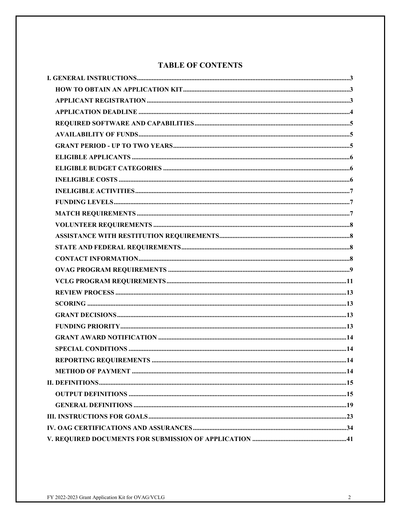## **TABLE OF CONTENTS**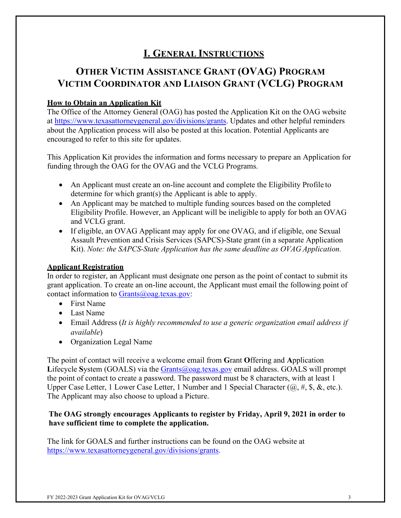# **I. GENERAL INSTRUCTIONS**

# **OTHER VICTIM ASSISTANCE GRANT (OVAG) PROGRAM VICTIM COORDINATOR AND LIAISON GRANT (VCLG) PROGRAM**

## <span id="page-2-0"></span>**How to Obtain an Application Kit**

The Office of the Attorney General (OAG) has posted the Application Kit on the OAG website at [https://www.texasattorneygeneral.gov/divisions/grants.](https://www.texasattorneygeneral.gov/divisions/grants) Updates and other helpful reminders about the Application process will also be posted at this location. Potential Applicants are encouraged to refer to this site for updates.

This Application Kit provides the information and forms necessary to prepare an Application for funding through the OAG for the OVAG and the VCLG Programs.

- An Applicant must create an on-line account and complete the Eligibility Profile to determine for which grant(s) the Applicant is able to apply.
- An Applicant may be matched to multiple funding sources based on the completed Eligibility Profile. However, an Applicant will be ineligible to apply for both an OVAG and VCLG grant.
- If eligible, an OVAG Applicant may apply for one OVAG, and if eligible, one Sexual Assault Prevention and Crisis Services (SAPCS)-State grant (in a separate Application Kit). *Note: the SAPCS-State Application has the same deadline as OVAG Application.*

### <span id="page-2-1"></span>**Applicant Registration**

In order to register, an Applicant must designate one person as the point of contact to submit its grant application. To create an on-line account, the Applicant must email the following point of contact information to  $Grants@oaq.texas.gov$ :

- First Name
- Last Name
- Email Address (*It is highly recommended to use a generic organization email address if available*)
- Organization Legal Name

The point of contact will receive a welcome email from **G**rant **O**ffering and **A**pplication **L**ifecycle **S**ystem (GOALS) via the [Grants@oag.texas.gov](mailto:Grants@oag.texas.gov) email address. GOALS will prompt the point of contact to create a password. The password must be 8 characters, with at least 1 Upper Case Letter, 1 Lower Case Letter, 1 Number and 1 Special Character  $(@, \#, \$, \&, etc.).$ The Applicant may also choose to upload a Picture.

### **The OAG strongly encourages Applicants to register by Friday, April 9, 2021 in order to have sufficient time to complete the application.**

The link for GOALS and further instructions can be found on the OAG website at [https://www.texasattorneygeneral.gov/divisions/grants.](https://www.texasattorneygeneral.gov/divisions/grants)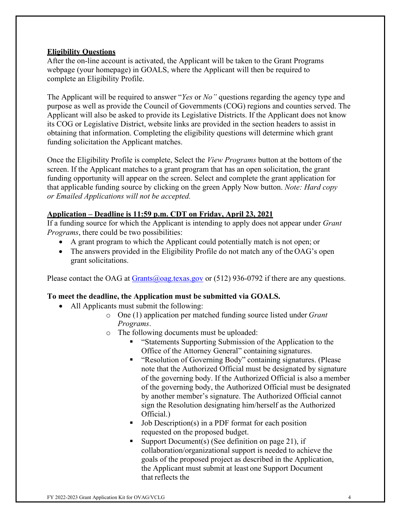#### **Eligibility Questions**

After the on-line account is activated, the Applicant will be taken to the Grant Programs webpage (your homepage) in GOALS, where the Applicant will then be required to complete an Eligibility Profile.

The Applicant will be required to answer "*Yes* or *No"* questions regarding the agency type and purpose as well as provide the Council of Governments (COG) regions and counties served. The Applicant will also be asked to provide its Legislative Districts. If the Applicant does not know its COG or Legislative District, website links are provided in the section headers to assist in obtaining that information. Completing the eligibility questions will determine which grant funding solicitation the Applicant matches.

Once the Eligibility Profile is complete, Select the *View Programs* button at the bottom of the screen. If the Applicant matches to a grant program that has an open solicitation, the grant funding opportunity will appear on the screen. Select and complete the grant application for that applicable funding source by clicking on the green Apply Now button. *Note: Hard copy or Emailed Applications will not be accepted.*

#### **Application – Deadline is 11:59 p.m. CDT on Friday, April 23, 2021**

If a funding source for which the Applicant is intending to apply does not appear under *Grant Programs*, there could be two possibilities:

- A grant program to which the Applicant could potentially match is not open; or
- The answers provided in the Eligibility Profile do not match any of the OAG's open grant solicitations.

Please contact the OAG at [Grants@oag.texas.gov](mailto:Grants@oag.texas.gov) or  $(512)$  936-0792 if there are any questions.

### **To meet the deadline, the Application must be submitted via GOALS.**

- All Applicants must submit the following:
	- o One (1) application per matched funding source listed under *Grant Programs*.
	- o The following documents must be uploaded:
		- **EXECUTE:** "Statements Supporting Submission of the Application to the Office of the Attorney General" containing signatures.
		- " "Resolution of Governing Body" containing signatures. (Please note that the Authorized Official must be designated by signature of the governing body. If the Authorized Official is also a member of the governing body, the Authorized Official must be designated by another member's signature. The Authorized Official cannot sign the Resolution designating him/herself as the Authorized Official.)
		- $\blacksquare$  Job Description(s) in a PDF format for each position requested on the proposed budget.
		- Support Document(s) (See definition on page 21), if collaboration/organizational support is needed to achieve the goals of the proposed project as described in the Application, the Applicant must submit at least one Support Document that reflects the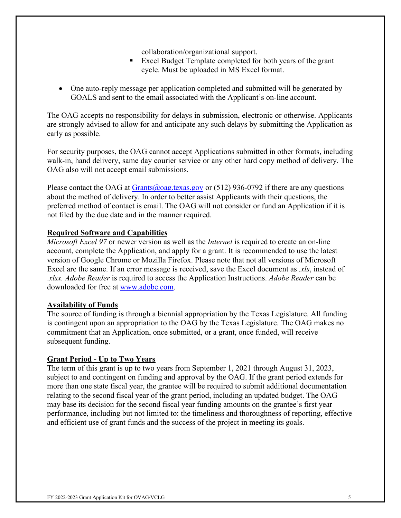collaboration/organizational support.

- Excel Budget Template completed for both years of the grant cycle. Must be uploaded in MS Excel format.
- One auto-reply message per application completed and submitted will be generated by GOALS and sent to the email associated with the Applicant's on-line account.

The OAG accepts no responsibility for delays in submission, electronic or otherwise. Applicants are strongly advised to allow for and anticipate any such delays by submitting the Application as early as possible.

For security purposes, the OAG cannot accept Applications submitted in other formats, including walk-in, hand delivery, same day courier service or any other hard copy method of delivery. The OAG also will not accept email submissions.

Please contact the OAG at  $Grants(\omega)$  oag.texas.gov or (512) 936-0792 if there are any questions about the method of delivery. In order to better assist Applicants with their questions, the preferred method of contact is email. The OAG will not consider or fund an Application if it is not filed by the due date and in the manner required.

#### <span id="page-4-0"></span>**Required Software and Capabilities**

*Microsoft Excel 97* or newer version as well as the *Internet* is required to create an on-line account, complete the Application, and apply for a grant. It is recommended to use the latest version of Google Chrome or Mozilla Firefox. Please note that not all versions of Microsoft Excel are the same. If an error message is received, save the Excel document as *.xls*, instead of .*xlsx. Adobe Reader* is required to access the Application Instructions. *Adobe Reader* can be downloaded for free at [www.adobe.com.](http://www.adobe.com/)

### <span id="page-4-1"></span>**Availability of Funds**

The source of funding is through a biennial appropriation by the Texas Legislature. All funding is contingent upon an appropriation to the OAG by the Texas Legislature. The OAG makes no commitment that an Application, once submitted, or a grant, once funded, will receive subsequent funding.

### <span id="page-4-2"></span>**Grant Period - Up to Two Years**

The term of this grant is up to two years from September 1, 2021 through August 31, 2023, subject to and contingent on funding and approval by the OAG. If the grant period extends for more than one state fiscal year, the grantee will be required to submit additional documentation relating to the second fiscal year of the grant period, including an updated budget. The OAG may base its decision for the second fiscal year funding amounts on the grantee's first year performance, including but not limited to: the timeliness and thoroughness of reporting, effective and efficient use of grant funds and the success of the project in meeting its goals.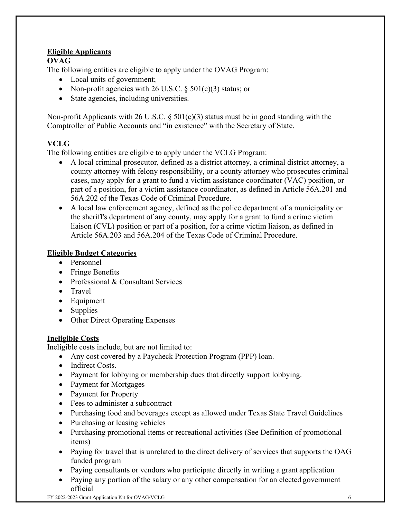## **Eligible Applicants**

### **OVAG**

The following entities are eligible to apply under the OVAG Program:

- Local units of government;
- Non-profit agencies with 26 U.S.C.  $\S 501(c)(3)$  status; or
- State agencies, including universities.

Non-profit Applicants with 26 U.S.C.  $\S 501(c)(3)$  status must be in good standing with the Comptroller of Public Accounts and "in existence" with the Secretary of State.

## **VCLG**

The following entities are eligible to apply under the VCLG Program:

- A local criminal prosecutor, defined as a district attorney, a criminal district attorney, a county attorney with felony responsibility, or a county attorney who prosecutes criminal cases, may apply for a grant to fund a victim assistance coordinator (VAC) position, or part of a position, for a victim assistance coordinator, as defined in Article 56A.201 and 56A.202 of the Texas Code of Criminal Procedure.
- A local law enforcement agency, defined as the police department of a municipality or the sheriff's department of any county, may apply for a grant to fund a crime victim liaison (CVL) position or part of a position, for a crime victim liaison, as defined in Article 56A.203 and 56A.204 of the Texas Code of Criminal Procedure.

### <span id="page-5-0"></span>**Eligible Budget Categories**

- Personnel
- Fringe Benefits
- Professional & Consultant Services
- Travel
- Equipment
- Supplies
- Other Direct Operating Expenses

### <span id="page-5-1"></span>**Ineligible Costs**

Ineligible costs include, but are not limited to:

- Any cost covered by a Paycheck Protection Program (PPP) loan.
- Indirect Costs.
- Payment for lobbying or membership dues that directly support lobbying.
- Payment for Mortgages
- Payment for Property
- Fees to administer a subcontract
- Purchasing food and beverages except as allowed under Texas State Travel Guidelines
- Purchasing or leasing vehicles
- Purchasing promotional items or recreational activities (See Definition of promotional items)
- Paying for travel that is unrelated to the direct delivery of services that supports the OAG funded program
- Paying consultants or vendors who participate directly in writing a grant application
- Paying any portion of the salary or any other compensation for an elected government official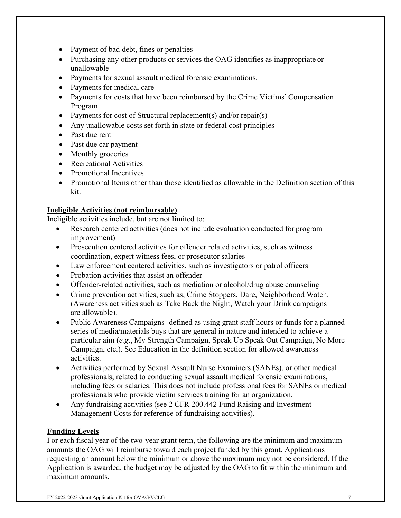- Payment of bad debt, fines or penalties
- Purchasing any other products or services the OAG identifies as inappropriate or unallowable
- Payments for sexual assault medical forensic examinations.
- Payments for medical care
- Payments for costs that have been reimbursed by the Crime Victims'Compensation Program
- Payments for cost of Structural replacement(s) and/or repair(s)
- Any unallowable costs set forth in state or federal cost principles
- Past due rent
- Past due car payment
- Monthly groceries
- Recreational Activities
- Promotional Incentives
- Promotional Items other than those identified as allowable in the Definition section of this kit.

#### **Ineligible Activities (not reimbursable)**

Ineligible activities include, but are not limited to:

- Research centered activities (does not include evaluation conducted for program improvement)
- Prosecution centered activities for offender related activities, such as witness coordination, expert witness fees, or prosecutor salaries
- Law enforcement centered activities, such as investigators or patrol officers
- Probation activities that assist an offender
- Offender-related activities, such as mediation or alcohol/drug abuse counseling
- Crime prevention activities, such as, Crime Stoppers, Dare, Neighborhood Watch. (Awareness activities such as Take Back the Night, Watch your Drink campaigns are allowable).
- Public Awareness Campaigns- defined as using grant staff hours or funds for a planned series of media/materials buys that are general in nature and intended to achieve a particular aim (*e.g*., My Strength Campaign, Speak Up Speak Out Campaign, No More Campaign, etc.). See Education in the definition section for allowed awareness activities.
- Activities performed by Sexual Assault Nurse Examiners (SANEs), or other medical professionals, related to conducting sexual assault medical forensic examinations, including fees or salaries. This does not include professional fees for SANEs or medical professionals who provide victim services training for an organization.
- Any fundraising activities (see 2 CFR 200.442 Fund Raising and Investment Management Costs for reference of fundraising activities).

#### <span id="page-6-0"></span>**Funding Levels**

For each fiscal year of the two-year grant term, the following are the minimum and maximum amounts the OAG will reimburse toward each project funded by this grant. Applications requesting an amount below the minimum or above the maximum may not be considered. If the Application is awarded, the budget may be adjusted by the OAG to fit within the minimum and maximum amounts.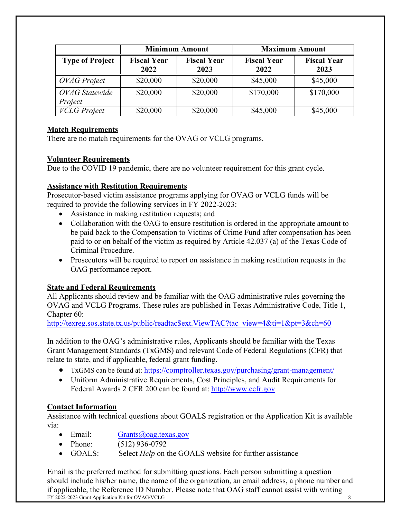|                           | <b>Minimum Amount</b>      |                            | <b>Maximum Amount</b>      |                            |
|---------------------------|----------------------------|----------------------------|----------------------------|----------------------------|
| <b>Type of Project</b>    | <b>Fiscal Year</b><br>2022 | <b>Fiscal Year</b><br>2023 | <b>Fiscal Year</b><br>2022 | <b>Fiscal Year</b><br>2023 |
| <b>OVAG</b> Project       | \$20,000                   | \$20,000                   | \$45,000                   | \$45,000                   |
| OVAG Statewide<br>Project | \$20,000                   | \$20,000                   | \$170,000                  | \$170,000                  |
| <b>VCLG</b> Project       | \$20,000                   | \$20,000                   | \$45,000                   | \$45,000                   |

## <span id="page-7-0"></span>**Match Requirements**

<span id="page-7-1"></span>There are no match requirements for the OVAG or VCLG programs.

# **Volunteer Requirements**

Due to the COVID 19 pandemic, there are no volunteer requirement for this grant cycle.

# <span id="page-7-2"></span>**Assistance with Restitution Requirements**

Prosecutor-based victim assistance programs applying for OVAG or VCLG funds will be required to provide the following services in FY 2022-2023:

- Assistance in making restitution requests; and
- Collaboration with the OAG to ensure restitution is ordered in the appropriate amount to be paid back to the Compensation to Victims of Crime Fund after compensation has been paid to or on behalf of the victim as required by Article 42.037 (a) of the Texas Code of Criminal Procedure.
- Prosecutors will be required to report on assistance in making restitution requests in the OAG performance report.

# <span id="page-7-3"></span>**State and Federal Requirements**

All Applicants should review and be familiar with the OAG administrative rules governing the OVAG and VCLG Programs. These rules are published in Texas Administrative Code, Title 1, Chapter 60:

[http://texreg.sos.state.tx.us/public/readtac\\$ext.ViewTAC?tac\\_view=4&ti=1&pt=3&ch=60](http://texreg.sos.state.tx.us/public/readtac%24ext.ViewTAC?tac_view=4&ti=1&pt=3&ch=60)

In addition to the OAG's administrative rules, Applicants should be familiar with the Texas Grant Management Standards (TxGMS) and relevant Code of Federal Regulations (CFR) that relate to state, and if applicable, federal grant funding.

- TxGMS can be found at:<https://comptroller.texas.gov/purchasing/grant-management/>
- Uniform Administrative Requirements, Cost Principles, and Audit Requirements for Federal Awards 2 CFR 200 can be found at: [http://www.ecfr.gov](http://www.ecfr.gov/)

# <span id="page-7-4"></span>**Contact Information**

Assistance with technical questions about GOALS registration or the Application Kit is available via:

- Email:  $Grants(\omega)$  oag.texas.gov
- Phone: (512) 936-0792
- GOALS: Select *Help* on the GOALS website for further assistance

FY 2022-2023 Grant Application Kit for OVAG/VCLG 8 Email is the preferred method for submitting questions. Each person submitting a question should include his/her name, the name of the organization, an email address, a phone number and if applicable, the Reference ID Number. Please note that OAG staff cannot assist with writing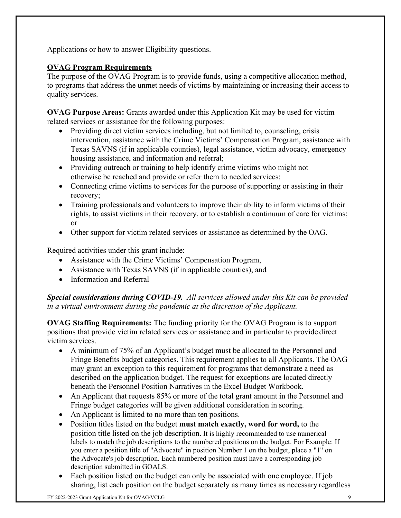Applications or how to answer Eligibility questions.

# <span id="page-8-0"></span>**OVAG Program Requirements**

The purpose of the OVAG Program is to provide funds, using a competitive allocation method, to programs that address the unmet needs of victims by maintaining or increasing their access to quality services.

**OVAG Purpose Areas:** Grants awarded under this Application Kit may be used for victim related services or assistance for the following purposes:

- Providing direct victim services including, but not limited to, counseling, crisis intervention, assistance with the Crime Victims' Compensation Program, assistance with Texas SAVNS (if in applicable counties), legal assistance, victim advocacy, emergency housing assistance, and information and referral;
- Providing outreach or training to help identify crime victims who might not otherwise be reached and provide or refer them to needed services;
- Connecting crime victims to services for the purpose of supporting or assisting in their recovery;
- Training professionals and volunteers to improve their ability to inform victims of their rights, to assist victims in their recovery, or to establish a continuum of care for victims; or
- Other support for victim related services or assistance as determined by the OAG.

Required activities under this grant include:

- Assistance with the Crime Victims' Compensation Program,
- Assistance with Texas SAVNS (if in applicable counties), and
- Information and Referral

*Special considerations during COVID-19. All services allowed under this Kit can be provided in a virtual environment during the pandemic at the discretion of the Applicant.* 

**OVAG Staffing Requirements:** The funding priority for the OVAG Program is to support positions that provide victim related services or assistance and in particular to provide direct victim services.

- A minimum of 75% of an Applicant's budget must be allocated to the Personnel and Fringe Benefits budget categories. This requirement applies to all Applicants. The OAG may grant an exception to this requirement for programs that demonstrate a need as described on the application budget. The request for exceptions are located directly beneath the Personnel Position Narratives in the Excel Budget Workbook.
- An Applicant that requests 85% or more of the total grant amount in the Personnel and Fringe budget categories will be given additional consideration in scoring.
- An Applicant is limited to no more than ten positions.
- Position titles listed on the budget **must match exactly, word for word,** to the position title listed on the job description. It is highly recommended to use numerical labels to match the job descriptions to the numbered positions on the budget. For Example: If you enter a position title of "Advocate" in position Number 1 on the budget, place a "1" on the Advocate's job description. Each numbered position must have a corresponding job description submitted in GOALS.
- Each position listed on the budget can only be associated with one employee. If job sharing, list each position on the budget separately as many times as necessary regardless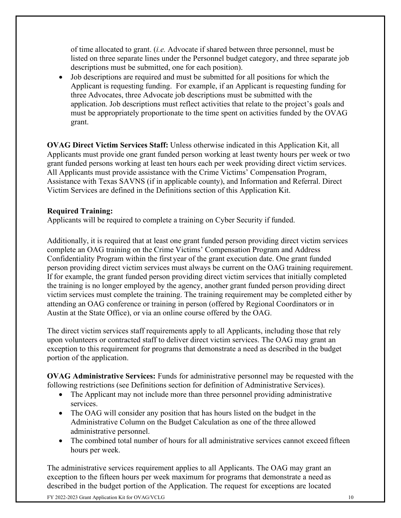of time allocated to grant. (*i.e.* Advocate if shared between three personnel, must be listed on three separate lines under the Personnel budget category, and three separate job descriptions must be submitted, one for each position).

• Job descriptions are required and must be submitted for all positions for which the Applicant is requesting funding. For example, if an Applicant is requesting funding for three Advocates, three Advocate job descriptions must be submitted with the application. Job descriptions must reflect activities that relate to the project's goals and must be appropriately proportionate to the time spent on activities funded by the OVAG grant.

**OVAG Direct Victim Services Staff:** Unless otherwise indicated in this Application Kit, all Applicants must provide one grant funded person working at least twenty hours per week or two grant funded persons working at least ten hours each per week providing direct victim services. All Applicants must provide assistance with the Crime Victims' Compensation Program, Assistance with Texas SAVNS (if in applicable county), and Information and Referral. Direct Victim Services are defined in the Definitions section of this Application Kit.

### **Required Training:**

Applicants will be required to complete a training on Cyber Security if funded.

Additionally, it is required that at least one grant funded person providing direct victim services complete an OAG training on the Crime Victims' Compensation Program and Address Confidentiality Program within the first year of the grant execution date. One grant funded person providing direct victim services must always be current on the OAG training requirement. If for example, the grant funded person providing direct victim services that initially completed the training is no longer employed by the agency, another grant funded person providing direct victim services must complete the training. The training requirement may be completed either by attending an OAG conference or training in person (offered by Regional Coordinators or in Austin at the State Office), or via an online course offered by the OAG.

The direct victim services staff requirements apply to all Applicants, including those that rely upon volunteers or contracted staff to deliver direct victim services. The OAG may grant an exception to this requirement for programs that demonstrate a need as described in the budget portion of the application.

**OVAG Administrative Services:** Funds for administrative personnel may be requested with the following restrictions (see Definitions section for definition of Administrative Services).

- The Applicant may not include more than three personnel providing administrative services.
- The OAG will consider any position that has hours listed on the budget in the Administrative Column on the Budget Calculation as one of the three allowed administrative personnel.
- The combined total number of hours for all administrative services cannot exceed fifteen hours per week.

The administrative services requirement applies to all Applicants. The OAG may grant an exception to the fifteen hours per week maximum for programs that demonstrate a need as described in the budget portion of the Application. The request for exceptions are located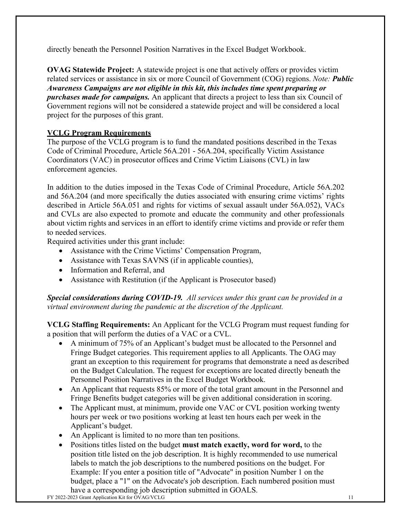directly beneath the Personnel Position Narratives in the Excel Budget Workbook.

**OVAG Statewide Project:** A statewide project is one that actively offers or provides victim related services or assistance in six or more Council of Government (COG) regions. *Note: Public Awareness Campaigns are not eligible in this kit, this includes time spent preparing or purchases made for campaigns.* An applicant that directs a project to less than six Council of Government regions will not be considered a statewide project and will be considered a local project for the purposes of this grant.

# <span id="page-10-0"></span>**VCLG Program Requirements**

The purpose of the VCLG program is to fund the mandated positions described in the Texas Code of Criminal Procedure, Article 56A.201 - 56A.204, specifically Victim Assistance Coordinators (VAC) in prosecutor offices and Crime Victim Liaisons (CVL) in law enforcement agencies.

In addition to the duties imposed in the Texas Code of Criminal Procedure, Article 56A.202 and 56A.204 (and more specifically the duties associated with ensuring crime victims' rights described in Article 56A.051 and rights for victims of sexual assault under 56A.052), VACs and CVLs are also expected to promote and educate the community and other professionals about victim rights and services in an effort to identify crime victims and provide or refer them to needed services.

Required activities under this grant include:

- Assistance with the Crime Victims' Compensation Program,
- Assistance with Texas SAVNS (if in applicable counties),
- Information and Referral, and
- Assistance with Restitution (if the Applicant is Prosecutor based)

*Special considerations during COVID-19. All services under this grant can be provided in a virtual environment during the pandemic at the discretion of the Applicant.* 

**VCLG Staffing Requirements:** An Applicant for the VCLG Program must request funding for a position that will perform the duties of a VAC or a CVL.

- A minimum of 75% of an Applicant's budget must be allocated to the Personnel and Fringe Budget categories. This requirement applies to all Applicants. The OAG may grant an exception to this requirement for programs that demonstrate a need as described on the Budget Calculation. The request for exceptions are located directly beneath the Personnel Position Narratives in the Excel Budget Workbook.
- An Applicant that requests 85% or more of the total grant amount in the Personnel and Fringe Benefits budget categories will be given additional consideration in scoring.
- The Applicant must, at minimum, provide one VAC or CVL position working twenty hours per week or two positions working at least ten hours each per week in the Applicant's budget.
- An Applicant is limited to no more than ten positions.
- Positions titles listed on the budget **must match exactly, word for word,** to the position title listed on the job description. It is highly recommended to use numerical labels to match the job descriptions to the numbered positions on the budget. For Example: If you enter a position title of "Advocate" in position Number 1 on the budget, place a "1" on the Advocate's job description. Each numbered position must have a corresponding job description submitted in GOALS.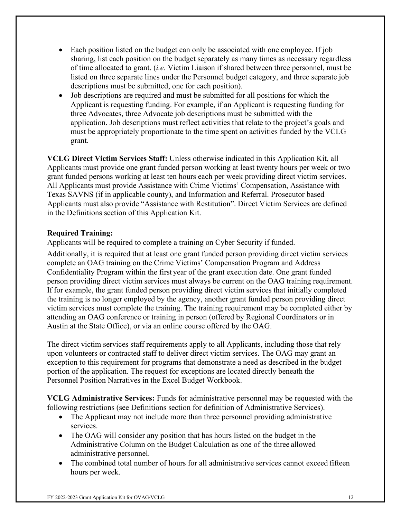- Each position listed on the budget can only be associated with one employee. If job sharing, list each position on the budget separately as many times as necessary regardless of time allocated to grant. (*i.e.* Victim Liaison if shared between three personnel, must be listed on three separate lines under the Personnel budget category, and three separate job descriptions must be submitted, one for each position).
- Job descriptions are required and must be submitted for all positions for which the Applicant is requesting funding. For example, if an Applicant is requesting funding for three Advocates, three Advocate job descriptions must be submitted with the application. Job descriptions must reflect activities that relate to the project's goals and must be appropriately proportionate to the time spent on activities funded by the VCLG grant.

**VCLG Direct Victim Services Staff:** Unless otherwise indicated in this Application Kit, all Applicants must provide one grant funded person working at least twenty hours per week or two grant funded persons working at least ten hours each per week providing direct victim services. All Applicants must provide Assistance with Crime Victims' Compensation, Assistance with Texas SAVNS (if in applicable county), and Information and Referral. Prosecutor based Applicants must also provide "Assistance with Restitution". Direct Victim Services are defined in the Definitions section of this Application Kit.

#### **Required Training:**

Applicants will be required to complete a training on Cyber Security if funded.

Additionally, it is required that at least one grant funded person providing direct victim services complete an OAG training on the Crime Victims' Compensation Program and Address Confidentiality Program within the first year of the grant execution date. One grant funded person providing direct victim services must always be current on the OAG training requirement. If for example, the grant funded person providing direct victim services that initially completed the training is no longer employed by the agency, another grant funded person providing direct victim services must complete the training. The training requirement may be completed either by attending an OAG conference or training in person (offered by Regional Coordinators or in Austin at the State Office), or via an online course offered by the OAG.

The direct victim services staff requirements apply to all Applicants, including those that rely upon volunteers or contracted staff to deliver direct victim services. The OAG may grant an exception to this requirement for programs that demonstrate a need as described in the budget portion of the application. The request for exceptions are located directly beneath the Personnel Position Narratives in the Excel Budget Workbook.

**VCLG Administrative Services:** Funds for administrative personnel may be requested with the following restrictions (see Definitions section for definition of Administrative Services).

- The Applicant may not include more than three personnel providing administrative services.
- The OAG will consider any position that has hours listed on the budget in the Administrative Column on the Budget Calculation as one of the three allowed administrative personnel.
- The combined total number of hours for all administrative services cannot exceed fifteen hours per week.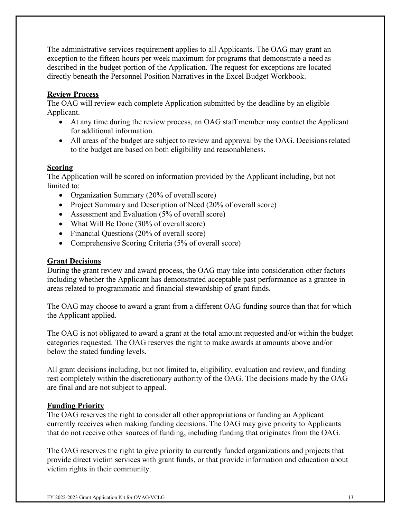The administrative services requirement applies to all Applicants. The OAG may grant an exception to the fifteen hours per week maximum for programs that demonstrate a need as described in the budget portion of the Application. The request for exceptions are located directly beneath the Personnel Position Narratives in the Excel Budget Workbook.

#### <span id="page-12-0"></span>**Review Process**

The OAG will review each complete Application submitted by the deadline by an eligible Applicant.

- At any time during the review process, an OAG staff member may contact the Applicant for additional information.
- All areas of the budget are subject to review and approval by the OAG. Decisions related to the budget are based on both eligibility and reasonableness.

#### <span id="page-12-1"></span>**Scoring**

The Application will be scored on information provided by the Applicant including, but not limited to:

- Organization Summary (20% of overall score)
- Project Summary and Description of Need (20% of overall score)
- Assessment and Evaluation (5% of overall score)
- What Will Be Done (30% of overall score)
- Financial Questions (20% of overall score)
- Comprehensive Scoring Criteria (5% of overall score)

#### <span id="page-12-2"></span>**Grant Decisions**

During the grant review and award process, the OAG may take into consideration other factors including whether the Applicant has demonstrated acceptable past performance as a grantee in areas related to programmatic and financial stewardship of grant funds.

The OAG may choose to award a grant from a different OAG funding source than that for which the Applicant applied.

The OAG is not obligated to award a grant at the total amount requested and/or within the budget categories requested. The OAG reserves the right to make awards at amounts above and/or below the stated funding levels.

All grant decisions including, but not limited to, eligibility, evaluation and review, and funding rest completely within the discretionary authority of the OAG. The decisions made by the OAG are final and are not subject to appeal.

#### <span id="page-12-3"></span>**Funding Priority**

The OAG reserves the right to consider all other appropriations or funding an Applicant currently receives when making funding decisions. The OAG may give priority to Applicants that do not receive other sources of funding, including funding that originates from the OAG.

The OAG reserves the right to give priority to currently funded organizations and projects that provide direct victim services with grant funds, or that provide information and education about victim rights in their community.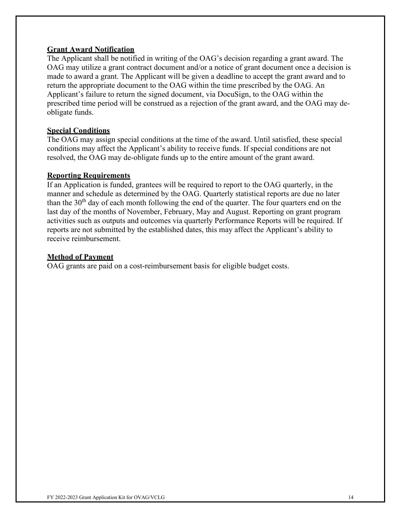#### <span id="page-13-0"></span>**Grant Award Notification**

The Applicant shall be notified in writing of the OAG's decision regarding a grant award. The OAG may utilize a grant contract document and/or a notice of grant document once a decision is made to award a grant. The Applicant will be given a deadline to accept the grant award and to return the appropriate document to the OAG within the time prescribed by the OAG. An Applicant's failure to return the signed document, via DocuSign, to the OAG within the prescribed time period will be construed as a rejection of the grant award, and the OAG may deobligate funds.

#### <span id="page-13-1"></span>**Special Conditions**

The OAG may assign special conditions at the time of the award. Until satisfied, these special conditions may affect the Applicant's ability to receive funds. If special conditions are not resolved, the OAG may de-obligate funds up to the entire amount of the grant award.

#### <span id="page-13-2"></span>**Reporting Requirements**

If an Application is funded, grantees will be required to report to the OAG quarterly, in the manner and schedule as determined by the OAG. Quarterly statistical reports are due no later than the  $30<sup>th</sup>$  day of each month following the end of the quarter. The four quarters end on the last day of the months of November, February, May and August. Reporting on grant program activities such as outputs and outcomes via quarterly Performance Reports will be required. If reports are not submitted by the established dates, this may affect the Applicant's ability to receive reimbursement.

### <span id="page-13-3"></span>**Method of Payment**

OAG grants are paid on a cost-reimbursement basis for eligible budget costs.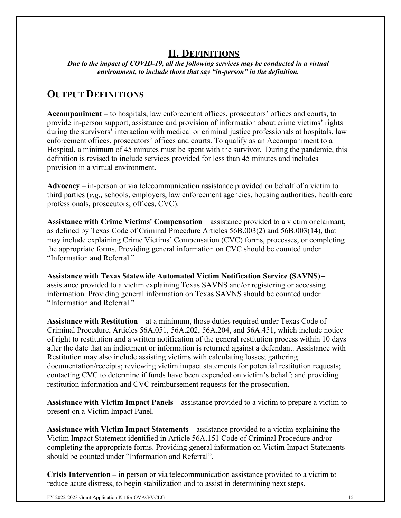# **II. DEFINITIONS**

<span id="page-14-1"></span><span id="page-14-0"></span>*Due to the impact of COVID-19, all the following services may be conducted in a virtual environment, to include those that say "in-person" in the definition.*

# **OUTPUT DEFINITIONS**

**Accompaniment –** to hospitals, law enforcement offices, prosecutors' offices and courts, to provide in-person support, assistance and provision of information about crime victims' rights during the survivors' interaction with medical or criminal justice professionals at hospitals, law enforcement offices, prosecutors' offices and courts. To qualify as an Accompaniment to a Hospital, a minimum of 45 minutes must be spent with the survivor. During the pandemic, this definition is revised to include services provided for less than 45 minutes and includes provision in a virtual environment.

**Advocacy –** in-person or via telecommunication assistance provided on behalf of a victim to third parties (*e.g.,* schools, employers, law enforcement agencies, housing authorities, health care professionals, prosecutors; offices, CVC).

Assistance with Crime Victims' Compensation – assistance provided to a victim or claimant, as defined by Texas Code of Criminal Procedure Articles 56B.003(2) and 56B.003(14), that may include explaining Crime Victims' Compensation (CVC) forms, processes, or completing the appropriate forms. Providing general information on CVC should be counted under "Information and Referral."

**Assistance with Texas Statewide Automated Victim Notification Service (SAVNS) –** assistance provided to a victim explaining Texas SAVNS and/or registering or accessing information. Providing general information on Texas SAVNS should be counted under "Information and Referral."

**Assistance with Restitution –** at a minimum, those duties required under Texas Code of Criminal Procedure, Articles 56A.051, 56A.202, 56A.204, and 56A.451, which include notice of right to restitution and a written notification of the general restitution process within 10 days after the date that an indictment or information is returned against a defendant. Assistance with Restitution may also include assisting victims with calculating losses; gathering documentation/receipts; reviewing victim impact statements for potential restitution requests; contacting CVC to determine if funds have been expended on victim's behalf; and providing restitution information and CVC reimbursement requests for the prosecution.

**Assistance with Victim Impact Panels –** assistance provided to a victim to prepare a victim to present on a Victim Impact Panel.

**Assistance with Victim Impact Statements –** assistance provided to a victim explaining the Victim Impact Statement identified in Article 56A.151 Code of Criminal Procedure and/or completing the appropriate forms. Providing general information on Victim Impact Statements should be counted under "Information and Referral".

**Crisis Intervention –** in person or via telecommunication assistance provided to a victim to reduce acute distress, to begin stabilization and to assist in determining next steps.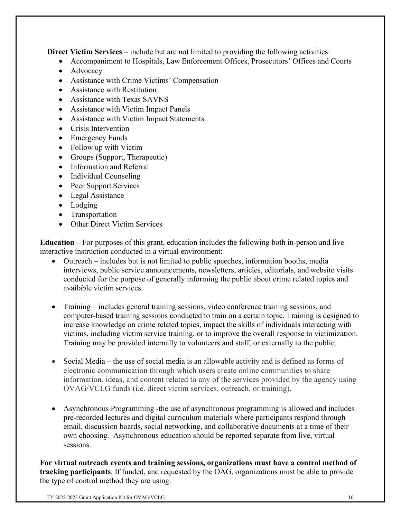**Direct Victim Services** – include but are not limited to providing the following activities:

- Accompaniment to Hospitals, Law Enforcement Offices, Prosecutors' Offices and Courts
- Advocacy
- Assistance with Crime Victims' Compensation
- Assistance with Restitution
- Assistance with Texas SAVNS
- Assistance with Victim Impact Panels
- Assistance with Victim Impact Statements
- Crisis Intervention
- Emergency Funds
- Follow up with Victim
- Groups (Support, Therapeutic)
- Information and Referral
- Individual Counseling
- Peer Support Services
- Legal Assistance
- Lodging
- Transportation
- Other Direct Victim Services

**Education –** For purposes of this grant, education includes the following both in-person and live interactive instruction conducted in a virtual environment:

- Outreach includes but is not limited to public speeches, information booths, media interviews, public service announcements, newsletters, articles, editorials, and website visits conducted for the purpose of generally informing the public about crime related topics and available victim services.
- Training includes general training sessions, video conference training sessions, and computer-based training sessions conducted to train on a certain topic. Training is designed to increase knowledge on crime related topics, impact the skills of individuals interacting with victims, including victim service training, or to improve the overall response to victimization. Training may be provided internally to volunteers and staff, or externally to the public.
- Social Media the use of social media is an allowable activity and is defined as forms of electronic communication through which users create online communities to share information, ideas, and content related to any of the services provided by the agency using OVAG/VCLG funds (i.e. direct victim services, outreach, or training).
- Asynchronous Programming -the use of asynchronous programming is allowed and includes pre-recorded lectures and digital curriculum materials where participants respond through email, discussion boards, social networking, and collaborative documents at a time of their own choosing. Asynchronous education should be reported separate from live, virtual sessions.

**For virtual outreach events and training sessions, organizations must have a control method of tracking participants**. If funded, and requested by the OAG, organizations must be able to provide the type of control method they are using.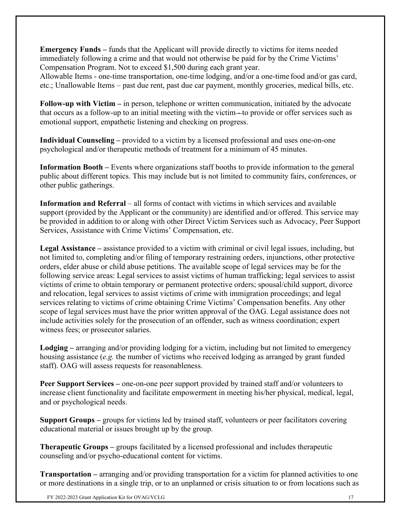**Emergency Funds –** funds that the Applicant will provide directly to victims for items needed immediately following a crime and that would not otherwise be paid for by the Crime Victims' Compensation Program. Not to exceed \$1,500 during each grant year.

Allowable Items - one-time transportation, one-time lodging, and/or a one-time food and/or gas card, etc.; Unallowable Items – past due rent, past due car payment, monthly groceries, medical bills, etc.

**Follow-up with Victim –** in person, telephone or written communication, initiated by the advocate that occurs as a follow-up to an initial meeting with the victim - to provide or offer services such as emotional support, empathetic listening and checking on progress.

**Individual Counseling –** provided to a victim by a licensed professional and uses one-on-one psychological and/or therapeutic methods of treatment for a minimum of 45 minutes.

**Information Booth –** Events where organizations staff booths to provide information to the general public about different topics. This may include but is not limited to community fairs, conferences, or other public gatherings.

**Information and Referral** – all forms of contact with victims in which services and available support (provided by the Applicant or the community) are identified and/or offered. This service may be provided in addition to or along with other Direct Victim Services such as Advocacy, Peer Support Services, Assistance with Crime Victims' Compensation, etc.

**Legal Assistance –** assistance provided to a victim with criminal or civil legal issues, including, but not limited to, completing and/or filing of temporary restraining orders, injunctions, other protective orders, elder abuse or child abuse petitions. The available scope of legal services may be for the following service areas: Legal services to assist victims of human trafficking; legal services to assist victims of crime to obtain temporary or permanent protective orders; spousal/child support, divorce and relocation, legal services to assist victims of crime with immigration proceedings; and legal services relating to victims of crime obtaining Crime Victims' Compensation benefits. Any other scope of legal services must have the prior written approval of the OAG. Legal assistance does not include activities solely for the prosecution of an offender, such as witness coordination; expert witness fees; or prosecutor salaries.

**Lodging –** arranging and/or providing lodging for a victim, including but not limited to emergency housing assistance (*e.g.* the number of victims who received lodging as arranged by grant funded staff). OAG will assess requests for reasonableness.

**Peer Support Services** – one-on-one peer support provided by trained staff and/or volunteers to increase client functionality and facilitate empowerment in meeting his/her physical, medical, legal, and or psychological needs.

**Support Groups –** groups for victims led by trained staff, volunteers or peer facilitators covering educational material or issues brought up by the group.

**Therapeutic Groups –** groups facilitated by a licensed professional and includes therapeutic counseling and/or psycho-educational content for victims.

**Transportation –** arranging and/or providing transportation for a victim for planned activities to one or more destinations in a single trip, or to an unplanned or crisis situation to or from locations such as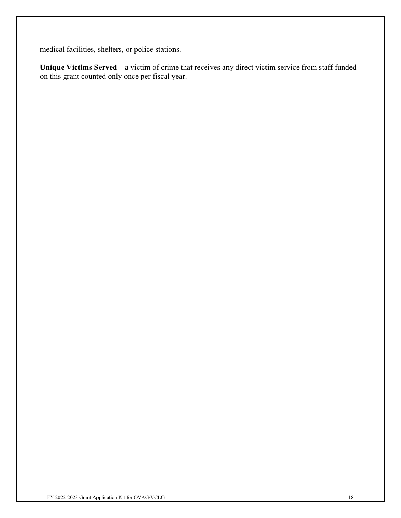medical facilities, shelters, or police stations.

**Unique Victims Served –** a victim of crime that receives any direct victim service from staff funded on this grant counted only once per fiscal year.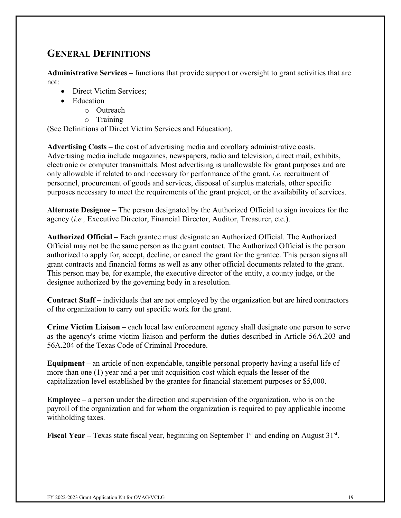# <span id="page-18-0"></span>**GENERAL DEFINITIONS**

**Administrative Services –** functions that provide support or oversight to grant activities that are not:

- Direct Victim Services:
- Education
	- o Outreach
	- o Training

(See Definitions of Direct Victim Services and Education).

**Advertising Costs –** the cost of advertising media and corollary administrative costs. Advertising media include magazines, newspapers, radio and television, direct mail, exhibits, electronic or computer transmittals. Most advertising is unallowable for grant purposes and are only allowable if related to and necessary for performance of the grant, *i.e.* recruitment of personnel, procurement of goods and services, disposal of surplus materials, other specific purposes necessary to meet the requirements of the grant project, or the availability of services.

**Alternate Designee** – The person designated by the Authorized Official to sign invoices for the agency (*i.e.,* Executive Director, Financial Director, Auditor, Treasurer, etc.).

**Authorized Official –** Each grantee must designate an Authorized Official. The Authorized Official may not be the same person as the grant contact. The Authorized Official is the person authorized to apply for, accept, decline, or cancel the grant for the grantee. This person signs all grant contracts and financial forms as well as any other official documents related to the grant. This person may be, for example, the executive director of the entity, a county judge, or the designee authorized by the governing body in a resolution.

**Contract Staff –** individuals that are not employed by the organization but are hired contractors of the organization to carry out specific work for the grant.

**Crime Victim Liaison –** each local law enforcement agency shall designate one person to serve as the agency's crime victim liaison and perform the duties described in Article 56A.203 and 56A.204 of the Texas Code of Criminal Procedure.

**Equipment –** an article of non-expendable, tangible personal property having a useful life of more than one (1) year and a per unit acquisition cost which equals the lesser of the capitalization level established by the grantee for financial statement purposes or \$5,000.

**Employee –** a person under the direction and supervision of the organization, who is on the payroll of the organization and for whom the organization is required to pay applicable income withholding taxes.

**Fiscal Year** – Texas state fiscal year, beginning on September 1<sup>st</sup> and ending on August 31<sup>st</sup>.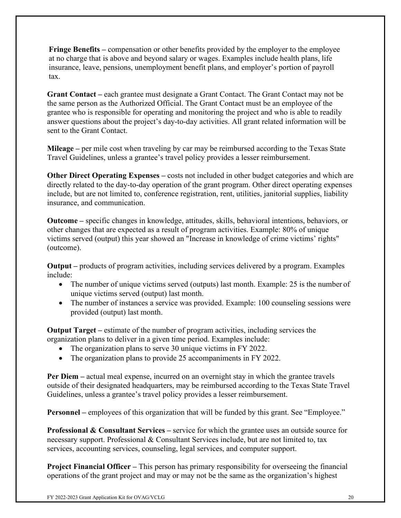**Fringe Benefits –** compensation or other benefits provided by the employer to the employee at no charge that is above and beyond salary or wages. Examples include health plans, life insurance, leave, pensions, unemployment benefit plans, and employer's portion of payroll tax.

**Grant Contact –** each grantee must designate a Grant Contact. The Grant Contact may not be the same person as the Authorized Official. The Grant Contact must be an employee of the grantee who is responsible for operating and monitoring the project and who is able to readily answer questions about the project's day-to-day activities. All grant related information will be sent to the Grant Contact.

**Mileage –** per mile cost when traveling by car may be reimbursed according to the Texas State Travel Guidelines, unless a grantee's travel policy provides a lesser reimbursement.

**Other Direct Operating Expenses** – costs not included in other budget categories and which are directly related to the day-to-day operation of the grant program. Other direct operating expenses include, but are not limited to, conference registration, rent, utilities, janitorial supplies, liability insurance, and communication.

**Outcome –** specific changes in knowledge, attitudes, skills, behavioral intentions, behaviors, or other changes that are expected as a result of program activities. Example: 80% of unique victims served (output) this year showed an "Increase in knowledge of crime victims' rights" (outcome).

**Output –** products of program activities, including services delivered by a program. Examples include:

- The number of unique victims served (outputs) last month. Example: 25 is the number of unique victims served (output) last month.
- The number of instances a service was provided. Example: 100 counseling sessions were provided (output) last month.

**Output Target –** estimate of the number of program activities, including services the organization plans to deliver in a given time period. Examples include:

- The organization plans to serve 30 unique victims in FY 2022.
- The organization plans to provide 25 accompaniments in FY 2022.

**Per Diem –** actual meal expense, incurred on an overnight stay in which the grantee travels outside of their designated headquarters, may be reimbursed according to the Texas State Travel Guidelines, unless a grantee's travel policy provides a lesser reimbursement.

**Personnel** – employees of this organization that will be funded by this grant. See "Employee."

**Professional & Consultant Services –** service for which the grantee uses an outside source for necessary support. Professional & Consultant Services include, but are not limited to, tax services, accounting services, counseling, legal services, and computer support.

**Project Financial Officer** – This person has primary responsibility for overseeing the financial operations of the grant project and may or may not be the same as the organization's highest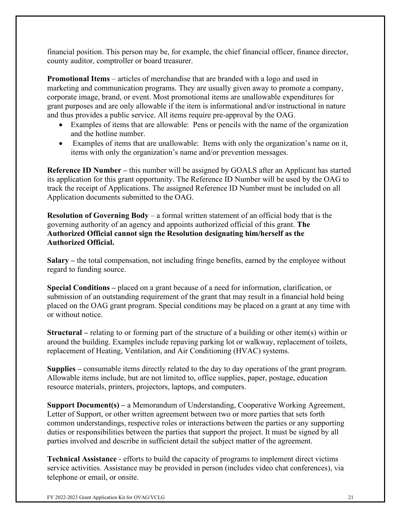financial position. This person may be, for example, the chief financial officer, finance director, county auditor, comptroller or board treasurer.

**Promotional Items** – articles of merchandise that are branded with a logo and used in marketing and communication programs. They are usually given away to promote a company, corporate image, brand, or event. Most promotional items are unallowable expenditures for grant purposes and are only allowable if the item is informational and/or instructional in nature and thus provides a public service. All items require pre-approval by the OAG.

- Examples of items that are allowable: Pens or pencils with the name of the organization and the hotline number.
- Examples of items that are unallowable: Items with only the organization's name on it, items with only the organization's name and/or prevention messages.

**Reference ID Number –** this number will be assigned by GOALS after an Applicant has started its application for this grant opportunity. The Reference ID Number will be used by the OAG to track the receipt of Applications. The assigned Reference ID Number must be included on all Application documents submitted to the OAG.

**Resolution of Governing Body** – a formal written statement of an official body that is the governing authority of an agency and appoints authorized official of this grant. **The Authorized Official cannot sign the Resolution designating him/herself as the Authorized Official.**

**Salary –** the total compensation, not including fringe benefits, earned by the employee without regard to funding source.

**Special Conditions –** placed on a grant because of a need for information, clarification, or submission of an outstanding requirement of the grant that may result in a financial hold being placed on the OAG grant program. Special conditions may be placed on a grant at any time with or without notice.

**Structural –** relating to or forming part of the structure of a building or other item(s) within or around the building. Examples include repaving parking lot or walkway, replacement of toilets, replacement of Heating, Ventilation, and Air Conditioning (HVAC) systems.

**Supplies –** consumable items directly related to the day to day operations of the grant program. Allowable items include, but are not limited to, office supplies, paper, postage, education resource materials, printers, projectors, laptops, and computers.

**Support Document(s) –** a Memorandum of Understanding, Cooperative Working Agreement, Letter of Support, or other written agreement between two or more parties that sets forth common understandings, respective roles or interactions between the parties or any supporting duties or responsibilities between the parties that support the project. It must be signed by all parties involved and describe in sufficient detail the subject matter of the agreement.

**Technical Assistance** - efforts to build the capacity of programs to implement direct victims service activities. Assistance may be provided in person (includes video chat conferences), via telephone or email, or onsite.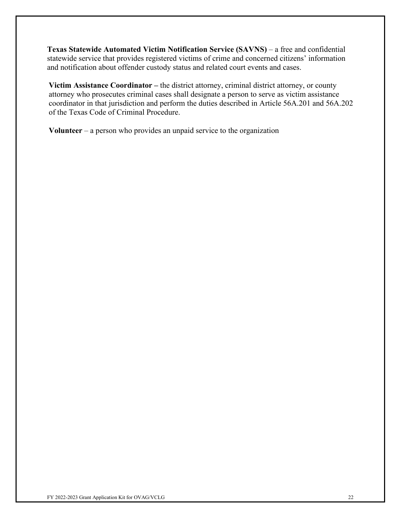**Texas Statewide Automated Victim Notification Service (SAVNS)** – a free and confidential statewide service that provides registered victims of crime and concerned citizens' information and notification about offender custody status and related court events and cases.

**Victim Assistance Coordinator –** the district attorney, criminal district attorney, or county attorney who prosecutes criminal cases shall designate a person to serve as victim assistance coordinator in that jurisdiction and perform the duties described in Article 56A.201 and 56A.202 of the Texas Code of Criminal Procedure.

**Volunteer** – a person who provides an unpaid service to the organization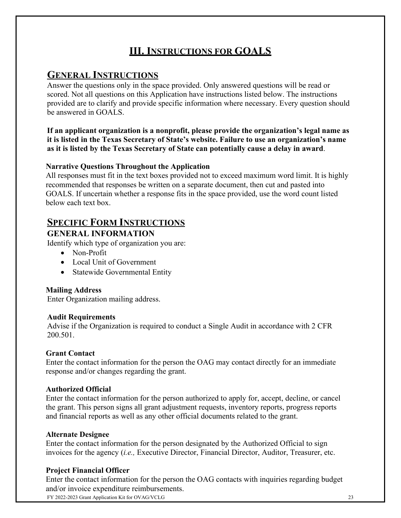# **III. INSTRUCTIONS FOR GOALS**

# **GENERAL INSTRUCTIONS**

Answer the questions only in the space provided. Only answered questions will be read or scored. Not all questions on this Application have instructions listed below. The instructions provided are to clarify and provide specific information where necessary. Every question should be answered in GOALS.

### **If an applicant organization is a nonprofit, please provide the organization's legal name as it is listed in the Texas Secretary of State's website. Failure to use an organization's name as it is listed by the Texas Secretary of State can potentially cause a delay in award**.

### **Narrative Questions Throughout the Application**

All responses must fit in the text boxes provided not to exceed maximum word limit. It is highly recommended that responses be written on a separate document, then cut and pasted into GOALS. If uncertain whether a response fits in the space provided, use the word count listed below each text box.

# **SPECIFIC FORM INSTRUCTIONS**

# **GENERAL INFORMATION**

Identify which type of organization you are:

- Non-Profit
- Local Unit of Government
- Statewide Governmental Entity

# **Mailing Address**

Enter Organization mailing address.

### **Audit Requirements**

Advise if the Organization is required to conduct a Single Audit in accordance with 2 CFR 200.501.

# **Grant Contact**

Enter the contact information for the person the OAG may contact directly for an immediate response and/or changes regarding the grant.

### **Authorized Official**

Enter the contact information for the person authorized to apply for, accept, decline, or cancel the grant. This person signs all grant adjustment requests, inventory reports, progress reports and financial reports as well as any other official documents related to the grant.

### **Alternate Designee**

Enter the contact information for the person designated by the Authorized Official to sign invoices for the agency (*i.e.,* Executive Director, Financial Director, Auditor, Treasurer, etc.

# **Project Financial Officer**

Enter the contact information for the person the OAG contacts with inquiries regarding budget and/or invoice expenditure reimbursements.

FY 2022-2023 Grant Application Kit for OVAG/VCLG 23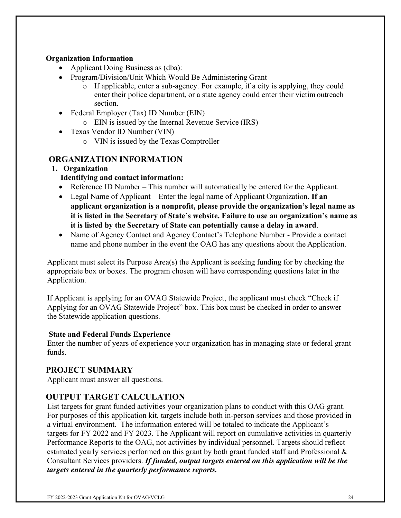### **Organization Information**

- Applicant Doing Business as (dba):
- Program/Division/Unit Which Would Be Administering Grant
	- o If applicable, enter a sub-agency. For example, if a city is applying, they could enter their police department, or a state agency could enter their victimoutreach section.
- Federal Employer (Tax) ID Number (EIN)
	- o EIN is issued by the Internal Revenue Service (IRS)
- Texas Vendor ID Number (VIN)
	- o VIN is issued by the Texas Comptroller

# **ORGANIZATION INFORMATION**

### **1. Organization**

## **Identifying and contact information:**

- Reference ID Number This number will automatically be entered for the Applicant.
- Legal Name of Applicant Enter the legal name of Applicant Organization. **If an applicant organization is a nonprofit, please provide the organization's legal name as it is listed in the Secretary of State's website. Failure to use an organization's name as it is listed by the Secretary of State can potentially cause a delay in award**.
- Name of Agency Contact and Agency Contact's Telephone Number Provide a contact name and phone number in the event the OAG has any questions about the Application.

Applicant must select its Purpose Area(s) the Applicant is seeking funding for by checking the appropriate box or boxes. The program chosen will have corresponding questions later in the Application.

If Applicant is applying for an OVAG Statewide Project, the applicant must check "Check if Applying for an OVAG Statewide Project" box. This box must be checked in order to answer the Statewide application questions.

### **State and Federal Funds Experience**

Enter the number of years of experience your organization has in managing state or federal grant funds.

# **PROJECT SUMMARY**

Applicant must answer all questions.

# **OUTPUT TARGET CALCULATION**

List targets for grant funded activities your organization plans to conduct with this OAG grant. For purposes of this application kit, targets include both in-person services and those provided in a virtual environment. The information entered will be totaled to indicate the Applicant's targets for FY 2022 and FY 2023. The Applicant will report on cumulative activities in quarterly Performance Reports to the OAG, not activities by individual personnel. Targets should reflect estimated yearly services performed on this grant by both grant funded staff and Professional & Consultant Services providers. *If funded, output targets entered on this application will be the targets entered in the quarterly performance reports.*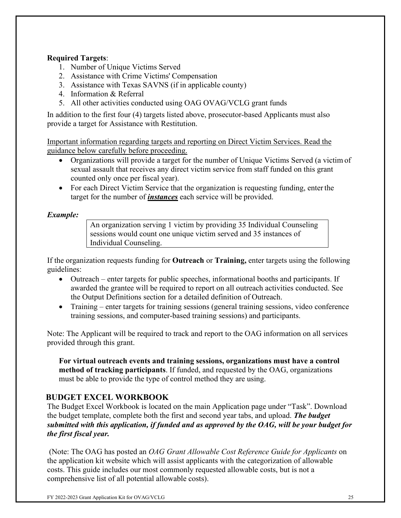## **Required Targets**:

- 1. Number of Unique Victims Served
- 2. Assistance with Crime Victims' Compensation
- 3. Assistance with Texas SAVNS (if in applicable county)
- 4. Information & Referral
- 5. All other activities conducted using OAG OVAG/VCLG grant funds

In addition to the first four (4) targets listed above, prosecutor-based Applicants must also provide a target for Assistance with Restitution.

Important information regarding targets and reporting on Direct Victim Services. Read the guidance below carefully before proceeding.

- Organizations will provide a target for the number of Unique Victims Served (a victim of sexual assault that receives any direct victim service from staff funded on this grant counted only once per fiscal year).
- For each Direct Victim Service that the organization is requesting funding, enter the target for the number of *instances* each service will be provided.

*Example:*

An organization serving 1 victim by providing 35 Individual Counseling sessions would count one unique victim served and 35 instances of Individual Counseling.

If the organization requests funding for **Outreach** or **Training,** enter targets using the following guidelines:

- Outreach enter targets for public speeches, informational booths and participants. If awarded the grantee will be required to report on all outreach activities conducted. See the Output Definitions section for a detailed definition of Outreach.
- Training enter targets for training sessions (general training sessions, video conference training sessions, and computer-based training sessions) and participants.

Note: The Applicant will be required to track and report to the OAG information on all services provided through this grant.

**For virtual outreach events and training sessions, organizations must have a control method of tracking participants**. If funded, and requested by the OAG, organizations must be able to provide the type of control method they are using.

# **BUDGET EXCEL WORKBOOK**

The Budget Excel Workbook is located on the main Application page under "Task". Download the budget template, complete both the first and second year tabs, and upload. *The budget submitted with this application, if funded and as approved by the OAG, will be your budget for the first fiscal year.*

(Note: The OAG has posted an *OAG Grant Allowable Cost Reference Guide for Applicants* on the application kit website which will assist applicants with the categorization of allowable costs. This guide includes our most commonly requested allowable costs, but is not a comprehensive list of all potential allowable costs).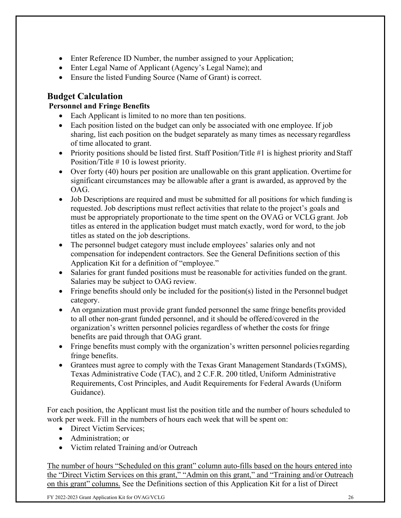- Enter Reference ID Number, the number assigned to your Application;
- Enter Legal Name of Applicant (Agency's Legal Name); and
- Ensure the listed Funding Source (Name of Grant) is correct.

# **Budget Calculation**

# **Personnel and Fringe Benefits**

- Each Applicant is limited to no more than ten positions.
- Each position listed on the budget can only be associated with one employee. If job sharing, list each position on the budget separately as many times as necessary regardless of time allocated to grant.
- Priority positions should be listed first. Staff Position/Title #1 is highest priority and Staff Position/Title # 10 is lowest priority.
- Over forty (40) hours per position are unallowable on this grant application. Overtime for significant circumstances may be allowable after a grant is awarded, as approved by the OAG.
- Job Descriptions are required and must be submitted for all positions for which funding is requested. Job descriptions must reflect activities that relate to the project's goals and must be appropriately proportionate to the time spent on the OVAG or VCLG grant. Job titles as entered in the application budget must match exactly, word for word, to the job titles as stated on the job descriptions.
- The personnel budget category must include employees' salaries only and not compensation for independent contractors. See the General Definitions section of this Application Kit for a definition of "employee."
- Salaries for grant funded positions must be reasonable for activities funded on the grant. Salaries may be subject to OAG review.
- Fringe benefits should only be included for the position(s) listed in the Personnel budget category.
- An organization must provide grant funded personnel the same fringe benefits provided to all other non-grant funded personnel, and it should be offered/covered in the organization's written personnel policies regardless of whether the costs for fringe benefits are paid through that OAG grant.
- Fringe benefits must comply with the organization's written personnel policies regarding fringe benefits.
- Grantees must agree to comply with the Texas Grant Management Standards (TxGMS), Texas Administrative Code (TAC), and 2 C.F.R. 200 titled, Uniform Administrative Requirements, Cost Principles, and Audit Requirements for Federal Awards (Uniform Guidance).

For each position, the Applicant must list the position title and the number of hours scheduled to work per week. Fill in the numbers of hours each week that will be spent on:

- Direct Victim Services;
- Administration; or
- Victim related Training and/or Outreach

The number of hours "Scheduled on this grant" column auto-fills based on the hours entered into the "Direct Victim Services on this grant," "Admin on this grant," and "Training and/or Outreach on this grant" columns. See the Definitions section of this Application Kit for a list of Direct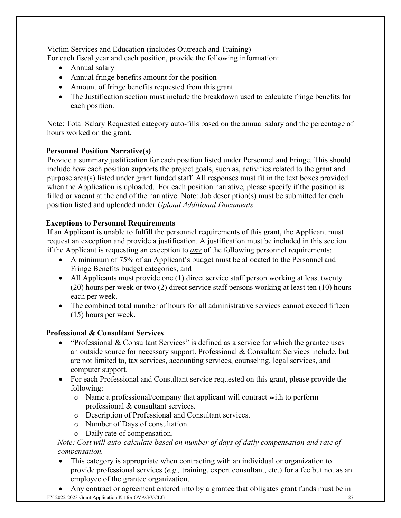Victim Services and Education (includes Outreach and Training) For each fiscal year and each position, provide the following information:

- Annual salary
- Annual fringe benefits amount for the position
- Amount of fringe benefits requested from this grant
- The Justification section must include the breakdown used to calculate fringe benefits for each position.

Note: Total Salary Requested category auto-fills based on the annual salary and the percentage of hours worked on the grant.

### **Personnel Position Narrative(s)**

Provide a summary justification for each position listed under Personnel and Fringe. This should include how each position supports the project goals, such as, activities related to the grant and purpose area(s) listed under grant funded staff. All responses must fit in the text boxes provided when the Application is uploaded. For each position narrative, please specify if the position is filled or vacant at the end of the narrative. Note: Job description(s) must be submitted for each position listed and uploaded under *Upload Additional Documents*.

## **Exceptions to Personnel Requirements**

If an Applicant is unable to fulfill the personnel requirements of this grant, the Applicant must request an exception and provide a justification. A justification must be included in this section if the Applicant is requesting an exception to *any* of the following personnel requirements:

- A minimum of 75% of an Applicant's budget must be allocated to the Personnel and Fringe Benefits budget categories, and
- All Applicants must provide one (1) direct service staff person working at least twenty (20) hours per week or two (2) direct service staff persons working at least ten (10) hours each per week.
- The combined total number of hours for all administrative services cannot exceed fifteen (15) hours per week.

# **Professional & Consultant Services**

- "Professional & Consultant Services" is defined as a service for which the grantee uses an outside source for necessary support. Professional & Consultant Services include, but are not limited to, tax services, accounting services, counseling, legal services, and computer support.
- For each Professional and Consultant service requested on this grant, please provide the following:
	- o Name a professional/company that applicant will contract with to perform professional & consultant services.
	- o Description of Professional and Consultant services.
	- o Number of Days of consultation.
	- o Daily rate of compensation.

### *Note: Cost will auto-calculate based on number of days of daily compensation and rate of compensation.*

• This category is appropriate when contracting with an individual or organization to provide professional services (*e.g.,* training, expert consultant, etc.) for a fee but not as an employee of the grantee organization.

FY 2022-2023 Grant Application Kit for OVAG/VCLG 27 • Any contract or agreement entered into by a grantee that obligates grant funds must be in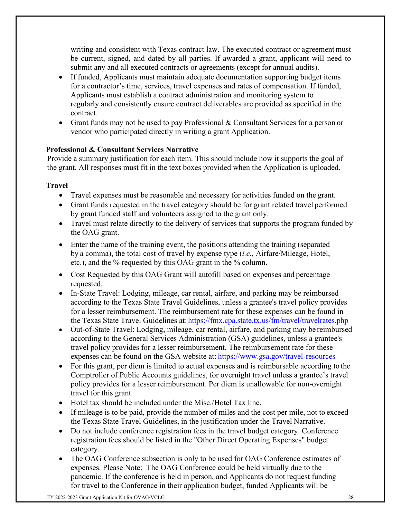writing and consistent with Texas contract law. The executed contract or agreement must be current, signed, and dated by all parties. If awarded a grant, applicant will need to submit any and all executed contracts or agreements (except for annual audits).

- If funded, Applicants must maintain adequate documentation supporting budget items for a contractor's time, services, travel expenses and rates of compensation. If funded, Applicants must establish a contract administration and monitoring system to regularly and consistently ensure contract deliverables are provided as specified in the contract.
- Grant funds may not be used to pay Professional & Consultant Services for a person or vendor who participated directly in writing a grant Application.

### **Professional & Consultant Services Narrative**

Provide a summary justification for each item. This should include how it supports the goal of the grant. All responses must fit in the text boxes provided when the Application is uploaded.

### **Travel**

- Travel expenses must be reasonable and necessary for activities funded on the grant.
- Grant funds requested in the travel category should be for grant related travel performed by grant funded staff and volunteers assigned to the grant only.
- Travel must relate directly to the delivery of services that supports the program funded by the OAG grant.
- Enter the name of the training event, the positions attending the training (separated by a comma), the total cost of travel by expense type (*i.e.,* Airfare/Mileage, Hotel, etc.), and the % requested by this OAG grant in the % column.
- Cost Requested by this OAG Grant will autofill based on expenses and percentage requested.
- In-State Travel: Lodging, mileage, car rental, airfare, and parking may be reimbursed according to the Texas State Travel Guidelines, unless a grantee's travel policy provides for a lesser reimbursement. The reimbursement rate for these expenses can be found in the Texas State Travel Guidelines at: <https://fmx.cpa.state.tx.us/fm/travel/travelrates.php>
- Out-of-State Travel: Lodging, mileage, car rental, airfare, and parking may be reimbursed according to the General Services Administration (GSA) guidelines, unless a grantee's travel policy provides for a lesser reimbursement. The reimbursement rate for these expenses can be found on the GSA website at: <https://www.gsa.gov/travel-resources>
- For this grant, per diem is limited to actual expenses and is reimbursable according to the Comptroller of Public Accounts guidelines, for overnight travel unless a grantee's travel policy provides for a lesser reimbursement. Per diem is unallowable for non-overnight travel for this grant.
- Hotel tax should be included under the Misc./Hotel Tax line.
- If mileage is to be paid, provide the number of miles and the cost per mile, not to exceed the Texas State Travel Guidelines, in the justification under the Travel Narrative.
- Do not include conference registration fees in the travel budget category. Conference registration fees should be listed in the "Other Direct Operating Expenses" budget category.
- The OAG Conference subsection is only to be used for OAG Conference estimates of expenses. Please Note: The OAG Conference could be held virtually due to the pandemic. If the conference is held in person, and Applicants do not request funding for travel to the Conference in their application budget, funded Applicants will be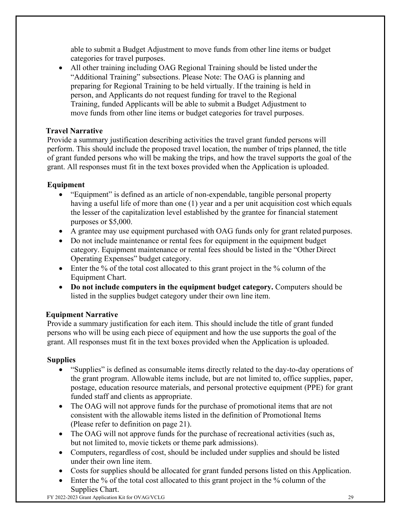able to submit a Budget Adjustment to move funds from other line items or budget categories for travel purposes.

• All other training including OAG Regional Training should be listed under the "Additional Training" subsections. Please Note: The OAG is planning and preparing for Regional Training to be held virtually. If the training is held in person, and Applicants do not request funding for travel to the Regional Training, funded Applicants will be able to submit a Budget Adjustment to move funds from other line items or budget categories for travel purposes.

## **Travel Narrative**

Provide a summary justification describing activities the travel grant funded persons will perform. This should include the proposed travel location, the number of trips planned, the title of grant funded persons who will be making the trips, and how the travel supports the goal of the grant. All responses must fit in the text boxes provided when the Application is uploaded.

# **Equipment**

- "Equipment" is defined as an article of non-expendable, tangible personal property having a useful life of more than one (1) year and a per unit acquisition cost which equals the lesser of the capitalization level established by the grantee for financial statement purposes or \$5,000.
- A grantee may use equipment purchased with OAG funds only for grant related purposes.
- Do not include maintenance or rental fees for equipment in the equipment budget category. Equipment maintenance or rental fees should be listed in the "Other Direct Operating Expenses" budget category.
- Enter the % of the total cost allocated to this grant project in the % column of the Equipment Chart.
- **Do not include computers in the equipment budget category.** Computers should be listed in the supplies budget category under their own line item.

### **Equipment Narrative**

Provide a summary justification for each item. This should include the title of grant funded persons who will be using each piece of equipment and how the use supports the goal of the grant. All responses must fit in the text boxes provided when the Application is uploaded.

# **Supplies**

- "Supplies" is defined as consumable items directly related to the day-to-day operations of the grant program. Allowable items include, but are not limited to, office supplies, paper, postage, education resource materials, and personal protective equipment (PPE) for grant funded staff and clients as appropriate.
- The OAG will not approve funds for the purchase of promotional items that are not consistent with the allowable items listed in the definition of Promotional Items (Please refer to definition on page 21).
- The OAG will not approve funds for the purchase of recreational activities (such as, but not limited to, movie tickets or theme park admissions).
- Computers, regardless of cost, should be included under supplies and should be listed under their own line item.
- Costs for supplies should be allocated for grant funded persons listed on this Application.
- Enter the % of the total cost allocated to this grant project in the % column of the Supplies Chart.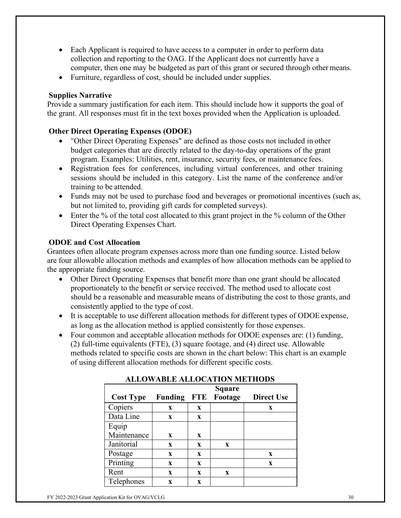- Each Applicant is required to have access to a computer in order to perform data collection and reporting to the OAG. If the Applicant does not currently have a computer, then one may be budgeted as part of this grant or secured through other means.
- Furniture, regardless of cost, should be included under supplies.

## **Supplies Narrative**

Provide a summary justification for each item. This should include how it supports the goal of the grant. All responses must fit in the text boxes provided when the Application is uploaded.

# **Other Direct Operating Expenses (ODOE)**

- "Other Direct Operating Expenses" are defined as those costs not included in other budget categories that are directly related to the day-to-day operations of the grant program. Examples: Utilities, rent, insurance, security fees, or maintenance fees.
- Registration fees for conferences, including virtual conferences, and other training sessions should be included in this category. List the name of the conference and/or training to be attended.
- Funds may not be used to purchase food and beverages or promotional incentives (such as, but not limited to, providing gift cards for completed surveys).
- Enter the % of the total cost allocated to this grant project in the % column of the Other Direct Operating Expenses Chart.

## **ODOE and Cost Allocation**

Grantees often allocate program expenses across more than one funding source. Listed below are four allowable allocation methods and examples of how allocation methods can be applied to the appropriate funding source.

- Other Direct Operating Expenses that benefit more than one grant should be allocated proportionately to the benefit or service received. The method used to allocate cost should be a reasonable and measurable means of distributing the cost to those grants, and consistently applied to the type of cost.
- It is acceptable to use different allocation methods for different types of ODOE expense, as long as the allocation method is applied consistently for those expenses.
- Four common and acceptable allocation methods for ODOE expenses are: (1) funding, (2) full-time equivalents (FTE), (3) square footage, and (4) direct use. Allowable methods related to specific costs are shown in the chart below: This chart is an example of using different allocation methods for different specific costs.

|                  |                |            | Square  |                   |
|------------------|----------------|------------|---------|-------------------|
| <b>Cost Type</b> | <b>Funding</b> | <b>FTE</b> | Footage | <b>Direct Use</b> |
| Copiers          | X              | X          |         | X                 |
| Data Line        | X              | X          |         |                   |
| Equip            |                |            |         |                   |
| Maintenance      | X              | X          |         |                   |
| Janitorial       | $\mathbf{x}$   | X          | X       |                   |
| Postage          | X              | X          |         | X                 |
| Printing         | $\mathbf{x}$   | X          |         | X                 |
| Rent             | X              | X          | X       |                   |
| Telephones       | X              | X          |         |                   |

# **ALLOWABLE ALLOCATION METHODS**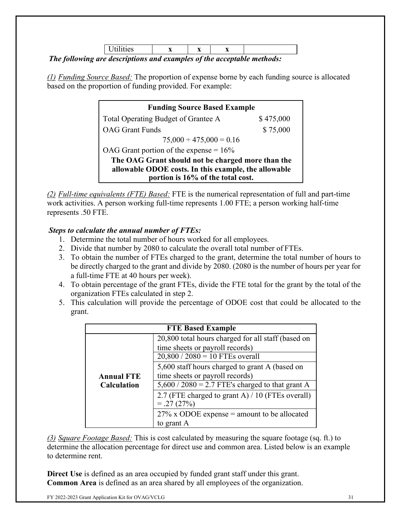|  | . | <br>-- | -434 |  |  |
|--|---|--------|------|--|--|
|  |   | --     |      |  |  |

*The following are descriptions and examples of the acceptable methods:*

*(1) Funding Source Based:* The proportion of expense borne by each funding source is allocated based on the proportion of funding provided. For example:

| <b>Funding Source Based Example</b>                  |           |  |  |  |
|------------------------------------------------------|-----------|--|--|--|
| Total Operating Budget of Grantee A                  | \$475,000 |  |  |  |
| <b>OAG</b> Grant Funds                               | \$75,000  |  |  |  |
| $75,000 \div 475,000 = 0.16$                         |           |  |  |  |
| OAG Grant portion of the expense = $16\%$            |           |  |  |  |
| The OAG Grant should not be charged more than the    |           |  |  |  |
| allowable ODOE costs. In this example, the allowable |           |  |  |  |
| portion is 16% of the total cost.                    |           |  |  |  |

*(2) Full-time equivalents (FTE) Based:* FTE is the numerical representation of full and part-time work activities. A person working full-time represents 1.00 FTE; a person working half-time represents .50 FTE.

## *Steps to calculate the annual number of FTEs:*

- 1. Determine the total number of hours worked for all employees.
- 2. Divide that number by 2080 to calculate the overall total number of FTEs.
- 3. To obtain the number of FTEs charged to the grant, determine the total number of hours to be directly charged to the grant and divide by 2080. (2080 is the number of hours per year for a full-time FTE at 40 hours per week).
- 4. To obtain percentage of the grant FTEs, divide the FTE total for the grant by the total of the organization FTEs calculated in step 2.
- 5. This calculation will provide the percentage of ODOE cost that could be allocated to the grant.

|                    | <b>FTE Based Example</b>                                                                                                   |
|--------------------|----------------------------------------------------------------------------------------------------------------------------|
|                    | 20,800 total hours charged for all staff (based on<br>time sheets or payroll records)<br>$20,800 / 2080 = 10$ FTEs overall |
| <b>Annual FTE</b>  | 5,600 staff hours charged to grant A (based on<br>time sheets or payroll records)                                          |
| <b>Calculation</b> | $5,600 / 2080 = 2.7$ FTE's charged to that grant A                                                                         |
|                    | 2.7 (FTE charged to grant A) / 10 (FTEs overall)<br>$= .27(27%)$                                                           |
|                    | $27\%$ x ODOE expense = amount to be allocated                                                                             |
|                    | to grant A                                                                                                                 |

*(3) Square Footage Based:* This is cost calculated by measuring the square footage (sq. ft.) to determine the allocation percentage for direct use and common area. Listed below is an example to determine rent.

**Direct Use** is defined as an area occupied by funded grant staff under this grant. **Common Area** is defined as an area shared by all employees of the organization.

FY 2022-2023 Grant Application Kit for OVAG/VCLG 31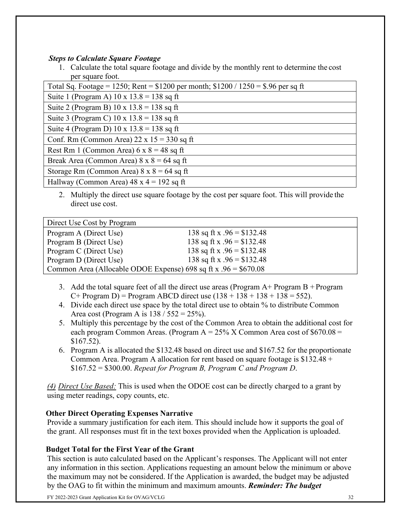## *Steps to Calculate Square Footage*

1. Calculate the total square footage and divide by the monthly rent to determine the cost per square foot.

| Total Sq. Footage = 1250; Rent = $$1200$ per month; $$1200 / 1250 = $.96$ per sq ft |  |  |
|-------------------------------------------------------------------------------------|--|--|
| Suite 1 (Program A) $10 \times 13.8 = 138$ sq ft                                    |  |  |
| Suite 2 (Program B) $10 \times 13.8 = 138$ sq ft                                    |  |  |
| Suite 3 (Program C) $10 \times 13.8 = 138$ sq ft                                    |  |  |
| Suite 4 (Program D) 10 x $13.8 = 138$ sq ft                                         |  |  |
| Conf. Rm (Common Area) $22 \times 15 = 330$ sq ft                                   |  |  |
| Rest Rm 1 (Common Area) $6 \times 8 = 48$ sq ft                                     |  |  |
| Break Area (Common Area) $8 \times 8 = 64$ sq ft                                    |  |  |
| Storage Rm (Common Area) $8 \times 8 = 64$ sq ft                                    |  |  |
| Hallway (Common Area) $48 \times 4 = 192$ sq ft                                     |  |  |

2. Multiply the direct use square footage by the cost per square foot. This will provide the direct use cost.

| Direct Use Cost by Program                                       |                             |  |  |  |
|------------------------------------------------------------------|-----------------------------|--|--|--|
| Program A (Direct Use)                                           | 138 sq ft x $.96 = $132.48$ |  |  |  |
| Program B (Direct Use)                                           | 138 sq ft x $.96 = $132.48$ |  |  |  |
| Program C (Direct Use)                                           | 138 sq ft x $.96 = $132.48$ |  |  |  |
| Program D (Direct Use)                                           | 138 sq ft x $.96 = $132.48$ |  |  |  |
| Common Area (Allocable ODOE Expense) 698 sq ft x $.96 = $670.08$ |                             |  |  |  |

- 3. Add the total square feet of all the direct use areas (Program  $A+$  Program  $B+$  Program C+ Program D) = Program ABCD direct use  $(138 + 138 + 138 + 138 = 552)$ .
- 4. Divide each direct use space by the total direct use to obtain % to distribute Common Area cost (Program A is  $138 / 552 = 25\%$ ).
- 5. Multiply this percentage by the cost of the Common Area to obtain the additional cost for each program Common Areas. (Program  $A = 25\%$  X Common Area cost of \$670.08 = \$167.52).
- 6. Program A is allocated the \$132.48 based on direct use and \$167.52 for the proportionate Common Area. Program A allocation for rent based on square footage is  $$132.48 +$ \$167.52 = \$300.00. *Repeat for Program B, Program C and Program D*.

*(4) Direct Use Based:* This is used when the ODOE cost can be directly charged to a grant by using meter readings, copy counts, etc.

### **Other Direct Operating Expenses Narrative**

Provide a summary justification for each item. This should include how it supports the goal of the grant. All responses must fit in the text boxes provided when the Application is uploaded.

# **Budget Total for the First Year of the Grant**

This section is auto calculated based on the Applicant's responses. The Applicant will not enter any information in this section. Applications requesting an amount below the minimum or above the maximum may not be considered. If the Application is awarded, the budget may be adjusted by the OAG to fit within the minimum and maximum amounts. *Reminder: The budget* 

FY 2022-2023 Grant Application Kit for OVAG/VCLG 32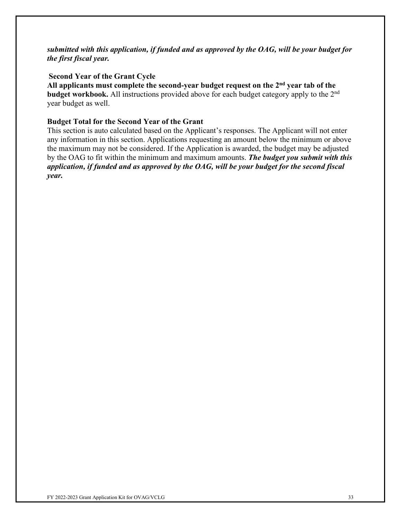#### *submitted with this application, if funded and as approved by the OAG, will be your budget for the first fiscal year.*

#### **Second Year of the Grant Cycle**

**All applicants must complete the second-year budget request on the 2nd year tab of the budget workbook.** All instructions provided above for each budget category apply to the 2<sup>nd</sup> year budget as well.

#### **Budget Total for the Second Year of the Grant**

This section is auto calculated based on the Applicant's responses. The Applicant will not enter any information in this section. Applications requesting an amount below the minimum or above the maximum may not be considered. If the Application is awarded, the budget may be adjusted by the OAG to fit within the minimum and maximum amounts. *The budget you submit with this application, if funded and as approved by the OAG, will be your budget for the second fiscal year.*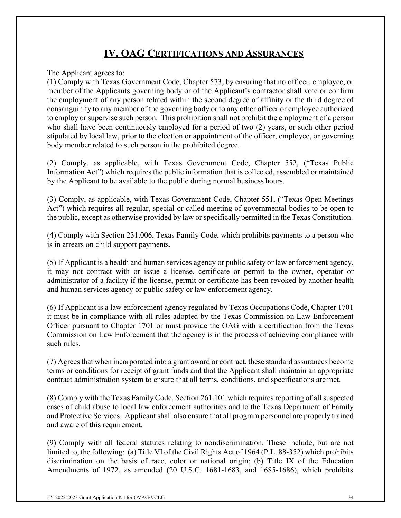# **IV. OAG CERTIFICATIONS AND ASSURANCES**

<span id="page-33-0"></span>The Applicant agrees to:

(1) Comply with Texas Government Code, Chapter 573, by ensuring that no officer, employee, or member of the Applicants governing body or of the Applicant's contractor shall vote or confirm the employment of any person related within the second degree of affinity or the third degree of consanguinity to any member of the governing body or to any other officer or employee authorized to employ or supervise such person. This prohibition shall not prohibit the employment of a person who shall have been continuously employed for a period of two (2) years, or such other period stipulated by local law, prior to the election or appointment of the officer, employee, or governing body member related to such person in the prohibited degree.

(2) Comply, as applicable, with Texas Government Code, Chapter 552, ("Texas Public Information Act") which requires the public information that is collected, assembled or maintained by the Applicant to be available to the public during normal business hours.

(3) Comply, as applicable, with Texas Government Code, Chapter 551, ("Texas Open Meetings Act") which requires all regular, special or called meeting of governmental bodies to be open to the public, except as otherwise provided by law or specifically permitted in the Texas Constitution.

(4) Comply with Section 231.006, Texas Family Code, which prohibits payments to a person who is in arrears on child support payments.

(5) If Applicant is a health and human services agency or public safety or law enforcement agency, it may not contract with or issue a license, certificate or permit to the owner, operator or administrator of a facility if the license, permit or certificate has been revoked by another health and human services agency or public safety or law enforcement agency.

(6) If Applicant is a law enforcement agency regulated by Texas Occupations Code, Chapter 1701 it must be in compliance with all rules adopted by the Texas Commission on Law Enforcement Officer pursuant to Chapter 1701 or must provide the OAG with a certification from the Texas Commission on Law Enforcement that the agency is in the process of achieving compliance with such rules.

(7) Agreesthat when incorporated into a grant award or contract, these standard assurances become terms or conditions for receipt of grant funds and that the Applicant shall maintain an appropriate contract administration system to ensure that all terms, conditions, and specifications are met.

(8) Comply with the Texas Family Code, Section 261.101 which requires reporting of all suspected cases of child abuse to local law enforcement authorities and to the Texas Department of Family and Protective Services. Applicant shall also ensure that all program personnel are properly trained and aware of this requirement.

(9) Comply with all federal statutes relating to nondiscrimination. These include, but are not limited to, the following: (a) Title VI of the Civil Rights Act of 1964 (P.L. 88-352) which prohibits discrimination on the basis of race, color or national origin; (b) Title IX of the Education Amendments of 1972, as amended (20 U.S.C. 1681-1683, and 1685-1686), which prohibits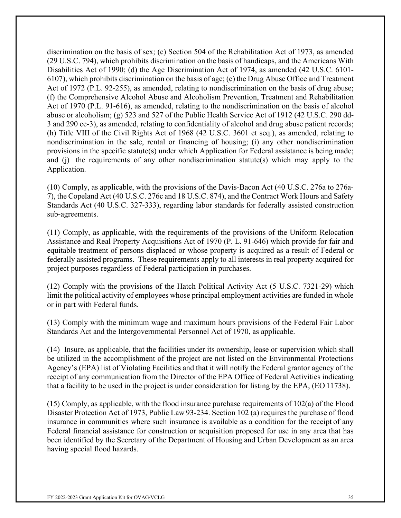discrimination on the basis of sex; (c) Section 504 of the Rehabilitation Act of 1973, as amended (29 U.S.C. 794), which prohibits discrimination on the basis of handicaps, and the Americans With Disabilities Act of 1990; (d) the Age Discrimination Act of 1974, as amended (42 U.S.C. 6101- 6107), which prohibits discrimination on the basis of age; (e) the Drug Abuse Office and Treatment Act of 1972 (P.L. 92-255), as amended, relating to nondiscrimination on the basis of drug abuse; (f) the Comprehensive Alcohol Abuse and Alcoholism Prevention, Treatment and Rehabilitation Act of 1970 (P.L. 91-616), as amended, relating to the nondiscrimination on the basis of alcohol abuse or alcoholism; (g) 523 and 527 of the Public Health Service Act of 1912 (42 U.S.C. 290 dd-3 and 290 ee-3), as amended, relating to confidentiality of alcohol and drug abuse patient records; (h) Title VIII of the Civil Rights Act of 1968 (42 U.S.C. 3601 et seq.), as amended, relating to nondiscrimination in the sale, rental or financing of housing; (i) any other nondiscrimination provisions in the specific statute(s) under which Application for Federal assistance is being made; and (j) the requirements of any other nondiscrimination statute(s) which may apply to the Application.

(10) Comply, as applicable, with the provisions of the Davis-Bacon Act (40 U.S.C. 276a to 276a-7), the Copeland Act (40 U.S.C. 276c and 18 U.S.C. 874), and the Contract Work Hours and Safety Standards Act (40 U.S.C. 327-333), regarding labor standards for federally assisted construction sub-agreements.

(11) Comply, as applicable, with the requirements of the provisions of the Uniform Relocation Assistance and Real Property Acquisitions Act of 1970 (P. L. 91-646) which provide for fair and equitable treatment of persons displaced or whose property is acquired as a result of Federal or federally assisted programs. These requirements apply to all interests in real property acquired for project purposes regardless of Federal participation in purchases.

(12) Comply with the provisions of the Hatch Political Activity Act (5 U.S.C. 7321-29) which limit the political activity of employees whose principal employment activities are funded in whole or in part with Federal funds.

(13) Comply with the minimum wage and maximum hours provisions of the Federal Fair Labor Standards Act and the Intergovernmental Personnel Act of 1970, as applicable.

(14) Insure, as applicable, that the facilities under its ownership, lease or supervision which shall be utilized in the accomplishment of the project are not listed on the Environmental Protections Agency's (EPA) list of Violating Facilities and that it will notify the Federal grantor agency of the receipt of any communication from the Director of the EPA Office of Federal Activities indicating that a facility to be used in the project is under consideration for listing by the EPA, (EO 11738).

(15) Comply, as applicable, with the flood insurance purchase requirements of 102(a) of the Flood Disaster Protection Act of 1973, Public Law 93-234. Section 102 (a) requires the purchase of flood insurance in communities where such insurance is available as a condition for the receipt of any Federal financial assistance for construction or acquisition proposed for use in any area that has been identified by the Secretary of the Department of Housing and Urban Development as an area having special flood hazards.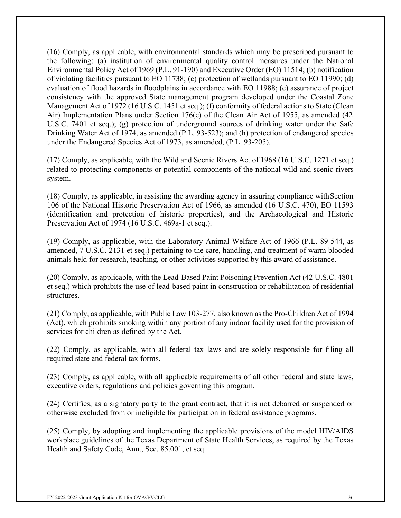(16) Comply, as applicable, with environmental standards which may be prescribed pursuant to the following: (a) institution of environmental quality control measures under the National Environmental Policy Act of 1969 (P.L. 91-190) and Executive Order (EO) 11514; (b) notification of violating facilities pursuant to EO 11738; (c) protection of wetlands pursuant to EO 11990; (d) evaluation of flood hazards in floodplains in accordance with EO 11988; (e) assurance of project consistency with the approved State management program developed under the Coastal Zone Management Act of 1972 (16 U.S.C. 1451 et seq.); (f) conformity of federal actions to State (Clean Air) Implementation Plans under Section 176(c) of the Clean Air Act of 1955, as amended (42 U.S.C. 7401 et seq.); (g) protection of underground sources of drinking water under the Safe Drinking Water Act of 1974, as amended (P.L. 93-523); and (h) protection of endangered species under the Endangered Species Act of 1973, as amended, (P.L. 93-205).

(17) Comply, as applicable, with the Wild and Scenic Rivers Act of 1968 (16 U.S.C. 1271 et seq.) related to protecting components or potential components of the national wild and scenic rivers system.

(18) Comply, as applicable, in assisting the awarding agency in assuring compliance withSection 106 of the National Historic Preservation Act of 1966, as amended (16 U.S.C. 470), EO 11593 (identification and protection of historic properties), and the Archaeological and Historic Preservation Act of 1974 (16 U.S.C. 469a-1 et seq.).

(19) Comply, as applicable, with the Laboratory Animal Welfare Act of 1966 (P.L. 89-544, as amended, 7 U.S.C. 2131 et seq.) pertaining to the care, handling, and treatment of warm blooded animals held for research, teaching, or other activities supported by this award of assistance.

(20) Comply, as applicable, with the Lead-Based Paint Poisoning Prevention Act (42 U.S.C. 4801 et seq.) which prohibits the use of lead-based paint in construction or rehabilitation of residential structures.

(21) Comply, as applicable, with Public Law 103-277, also known as the Pro-Children Act of 1994 (Act), which prohibits smoking within any portion of any indoor facility used for the provision of services for children as defined by the Act.

(22) Comply, as applicable, with all federal tax laws and are solely responsible for filing all required state and federal tax forms.

(23) Comply, as applicable, with all applicable requirements of all other federal and state laws, executive orders, regulations and policies governing this program.

(24) Certifies, as a signatory party to the grant contract, that it is not debarred or suspended or otherwise excluded from or ineligible for participation in federal assistance programs.

(25) Comply, by adopting and implementing the applicable provisions of the model HIV/AIDS workplace guidelines of the Texas Department of State Health Services, as required by the Texas Health and Safety Code, Ann., Sec. 85.001, et seq.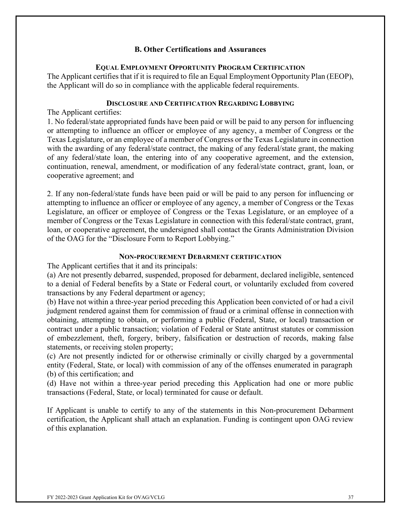#### **B. Other Certifications and Assurances**

#### **EQUAL EMPLOYMENT OPPORTUNITY PROGRAM CERTIFICATION**

The Applicant certifies that if it is required to file an Equal Employment Opportunity Plan (EEOP), the Applicant will do so in compliance with the applicable federal requirements.

#### **DISCLOSURE AND CERTIFICATION REGARDING LOBBYING**

The Applicant certifies:

1. No federal/state appropriated funds have been paid or will be paid to any person for influencing or attempting to influence an officer or employee of any agency, a member of Congress or the Texas Legislature, or an employee of a member of Congress or the Texas Legislature in connection with the awarding of any federal/state contract, the making of any federal/state grant, the making of any federal/state loan, the entering into of any cooperative agreement, and the extension, continuation, renewal, amendment, or modification of any federal/state contract, grant, loan, or cooperative agreement; and

2. If any non-federal/state funds have been paid or will be paid to any person for influencing or attempting to influence an officer or employee of any agency, a member of Congress or the Texas Legislature, an officer or employee of Congress or the Texas Legislature, or an employee of a member of Congress or the Texas Legislature in connection with this federal/state contract, grant, loan, or cooperative agreement, the undersigned shall contact the Grants Administration Division of the OAG for the "Disclosure Form to Report Lobbying."

#### **NON-PROCUREMENT DEBARMENT CERTIFICATION**

The Applicant certifies that it and its principals:

(a) Are not presently debarred, suspended, proposed for debarment, declared ineligible, sentenced to a denial of Federal benefits by a State or Federal court, or voluntarily excluded from covered transactions by any Federal department or agency;

(b) Have not within a three-year period preceding this Application been convicted of or had a civil judgment rendered against them for commission of fraud or a criminal offense in connectionwith obtaining, attempting to obtain, or performing a public (Federal, State, or local) transaction or contract under a public transaction; violation of Federal or State antitrust statutes or commission of embezzlement, theft, forgery, bribery, falsification or destruction of records, making false statements, or receiving stolen property;

(c) Are not presently indicted for or otherwise criminally or civilly charged by a governmental entity (Federal, State, or local) with commission of any of the offenses enumerated in paragraph (b) of this certification; and

(d) Have not within a three-year period preceding this Application had one or more public transactions (Federal, State, or local) terminated for cause or default.

If Applicant is unable to certify to any of the statements in this Non-procurement Debarment certification, the Applicant shall attach an explanation. Funding is contingent upon OAG review of this explanation.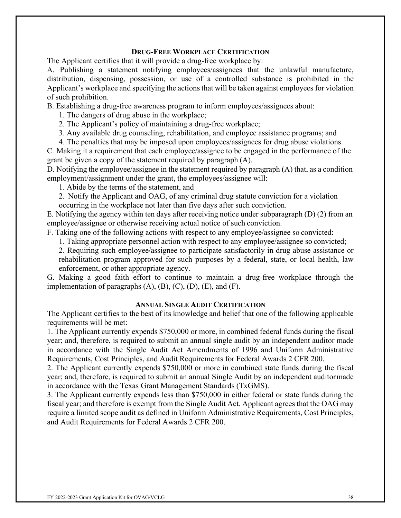#### **DRUG-FREE WORKPLACE CERTIFICATION**

The Applicant certifies that it will provide a drug-free workplace by:

A. Publishing a statement notifying employees/assignees that the unlawful manufacture, distribution, dispensing, possession, or use of a controlled substance is prohibited in the Applicant's workplace and specifying the actions that will be taken against employees for violation of such prohibition.

B. Establishing a drug-free awareness program to inform employees/assignees about:

1. The dangers of drug abuse in the workplace;

2. The Applicant's policy of maintaining a drug-free workplace;

3. Any available drug counseling, rehabilitation, and employee assistance programs; and

4. The penalties that may be imposed upon employees/assignees for drug abuse violations.

C. Making it a requirement that each employee/assignee to be engaged in the performance of the grant be given a copy of the statement required by paragraph (A).

D. Notifying the employee/assignee in the statement required by paragraph (A) that, as a condition employment/assignment under the grant, the employees/assignee will:

1. Abide by the terms of the statement, and

2. Notify the Applicant and OAG, of any criminal drug statute conviction for a violation

occurring in the workplace not later than five days after such conviction.

E. Notifying the agency within ten days after receiving notice under subparagraph (D) (2) from an employee/assignee or otherwise receiving actual notice of such conviction.

F. Taking one of the following actions with respect to any employee/assignee so convicted:

1. Taking appropriate personnel action with respect to any employee/assignee so convicted;

2. Requiring such employee/assignee to participate satisfactorily in drug abuse assistance or rehabilitation program approved for such purposes by a federal, state, or local health, law enforcement, or other appropriate agency.

G. Making a good faith effort to continue to maintain a drug-free workplace through the implementation of paragraphs  $(A)$ ,  $(B)$ ,  $(C)$ ,  $(D)$ ,  $(E)$ , and  $(F)$ .

#### **ANNUAL SINGLE AUDIT CERTIFICATION**

The Applicant certifies to the best of its knowledge and belief that one of the following applicable requirements will be met:

1. The Applicant currently expends \$750,000 or more, in combined federal funds during the fiscal year; and, therefore, is required to submit an annual single audit by an independent auditor made in accordance with the Single Audit Act Amendments of 1996 and Uniform Administrative Requirements, Cost Principles, and Audit Requirements for Federal Awards 2 CFR 200.

2. The Applicant currently expends \$750,000 or more in combined state funds during the fiscal year; and, therefore, is required to submit an annual Single Audit by an independent auditormade in accordance with the Texas Grant Management Standards (TxGMS).

3. The Applicant currently expends less than \$750,000 in either federal or state funds during the fiscal year; and therefore is exempt from the Single Audit Act. Applicant agrees that the OAG may require a limited scope audit as defined in Uniform Administrative Requirements, Cost Principles, and Audit Requirements for Federal Awards 2 CFR 200.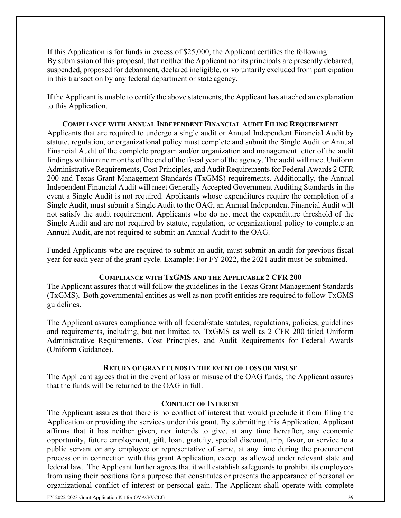If this Application is for funds in excess of \$25,000, the Applicant certifies the following: By submission of this proposal, that neither the Applicant nor its principals are presently debarred, suspended, proposed for debarment, declared ineligible, or voluntarily excluded from participation in this transaction by any federal department or state agency.

If the Applicant is unable to certify the above statements, the Applicant has attached an explanation to this Application.

**COMPLIANCE WITH ANNUAL INDEPENDENT FINANCIAL AUDIT FILING REQUIREMENT** Applicants that are required to undergo a single audit or Annual Independent Financial Audit by statute, regulation, or organizational policy must complete and submit the Single Audit or Annual Financial Audit of the complete program and/or organization and management letter of the audit findings within nine months of the end of the fiscal year of the agency. The audit will meet Uniform Administrative Requirements, Cost Principles, and Audit Requirements for Federal Awards 2 CFR 200 and Texas Grant Management Standards (TxGMS) requirements. Additionally, the Annual Independent Financial Audit will meet Generally Accepted Government Auditing Standards in the event a Single Audit is not required. Applicants whose expenditures require the completion of a Single Audit, must submit a Single Audit to the OAG, an Annual Independent Financial Audit will not satisfy the audit requirement. Applicants who do not meet the expenditure threshold of the Single Audit and are not required by statute, regulation, or organizational policy to complete an Annual Audit, are not required to submit an Annual Audit to the OAG.

Funded Applicants who are required to submit an audit, must submit an audit for previous fiscal year for each year of the grant cycle. Example: For FY 2022, the 2021 audit must be submitted.

#### **COMPLIANCE WITH TxGMS AND THE APPLICABLE 2 CFR 200**

The Applicant assures that it will follow the guidelines in the Texas Grant Management Standards (TxGMS). Both governmental entities as well as non-profit entities are required to follow TxGMS guidelines.

The Applicant assures compliance with all federal/state statutes, regulations, policies, guidelines and requirements, including, but not limited to, TxGMS as well as 2 CFR 200 titled Uniform Administrative Requirements, Cost Principles, and Audit Requirements for Federal Awards (Uniform Guidance).

#### **RETURN OF GRANT FUNDS IN THE EVENT OF LOSS OR MISUSE**

The Applicant agrees that in the event of loss or misuse of the OAG funds, the Applicant assures that the funds will be returned to the OAG in full.

#### **CONFLICT OF INTEREST**

The Applicant assures that there is no conflict of interest that would preclude it from filing the Application or providing the services under this grant. By submitting this Application, Applicant affirms that it has neither given, nor intends to give, at any time hereafter, any economic opportunity, future employment, gift, loan, gratuity, special discount, trip, favor, or service to a public servant or any employee or representative of same, at any time during the procurement process or in connection with this grant Application, except as allowed under relevant state and federal law. The Applicant further agrees that it will establish safeguards to prohibit its employees from using their positions for a purpose that constitutes or presents the appearance of personal or organizational conflict of interest or personal gain. The Applicant shall operate with complete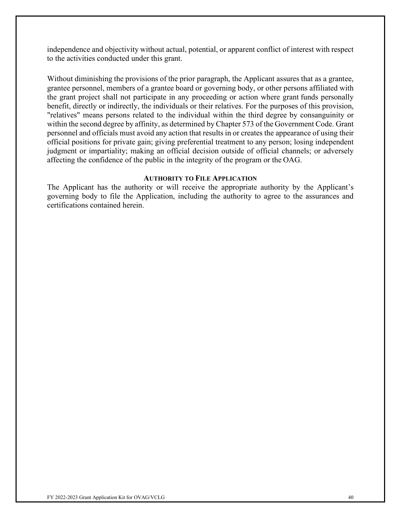independence and objectivity without actual, potential, or apparent conflict of interest with respect to the activities conducted under this grant.

Without diminishing the provisions of the prior paragraph, the Applicant assures that as a grantee, grantee personnel, members of a grantee board or governing body, or other persons affiliated with the grant project shall not participate in any proceeding or action where grant funds personally benefit, directly or indirectly, the individuals or their relatives. For the purposes of this provision, "relatives" means persons related to the individual within the third degree by consanguinity or within the second degree by affinity, as determined by Chapter 573 of the Government Code. Grant personnel and officials must avoid any action that results in or creates the appearance of using their official positions for private gain; giving preferential treatment to any person; losing independent judgment or impartiality; making an official decision outside of official channels; or adversely affecting the confidence of the public in the integrity of the program or the OAG.

#### **AUTHORITY TO FILE APPLICATION**

The Applicant has the authority or will receive the appropriate authority by the Applicant's governing body to file the Application, including the authority to agree to the assurances and certifications contained herein.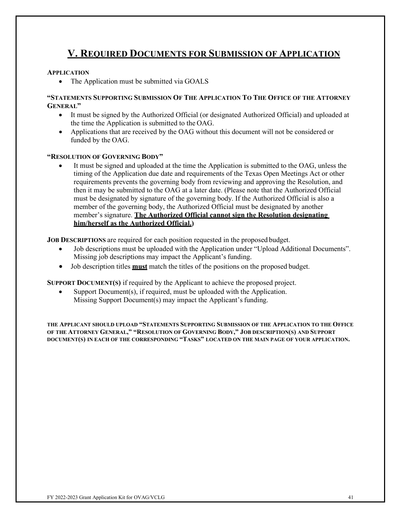# **V. REQUIRED DOCUMENTS FOR SUBMISSION OF APPLICATION**

#### <span id="page-40-0"></span>**APPLICATION**

• The Application must be submitted via GOALS

#### **"STATEMENTS SUPPORTING SUBMISSION OF THE APPLICATION TO THE OFFICE OF THE ATTORNEY GENERAL"**

- It must be signed by the Authorized Official (or designated Authorized Official) and uploaded at the time the Application is submitted to the OAG.
- Applications that are received by the OAG without this document will not be considered or funded by the OAG.

#### **"RESOLUTION OF GOVERNING BODY"**

It must be signed and uploaded at the time the Application is submitted to the OAG, unless the timing of the Application due date and requirements of the Texas Open Meetings Act or other requirements prevents the governing body from reviewing and approving the Resolution, and then it may be submitted to the OAG at a later date. (Please note that the Authorized Official must be designated by signature of the governing body. If the Authorized Official is also a member of the governing body, the Authorized Official must be designated by another member's signature. **The Authorized Official cannot sign the Resolution designating him/herself as the Authorized Official.)**

**JOB DESCRIPTIONS** are required for each position requested in the proposed budget.

- Job descriptions must be uploaded with the Application under "Upload Additional Documents". Missing job descriptions may impact the Applicant's funding.
- Job description titles **must** match the titles of the positions on the proposed budget.

**SUPPORT DOCUMENT(S)** if required by the Applicant to achieve the proposed project.

Support Document(s), if required, must be uploaded with the Application. Missing Support Document(s) may impact the Applicant's funding.

**THE APPLICANT SHOULD UPLOAD "STATEMENTS SUPPORTING SUBMISSION OF THE APPLICATION TO THE OFFICE OF THE ATTORNEY GENERAL," "RESOLUTION OF GOVERNING BODY," JOB DESCRIPTION(S) AND SUPPORT DOCUMENT(S) IN EACH OF THE CORRESPONDING "TASKS" LOCATED ON THE MAIN PAGE OF YOUR APPLICATION.**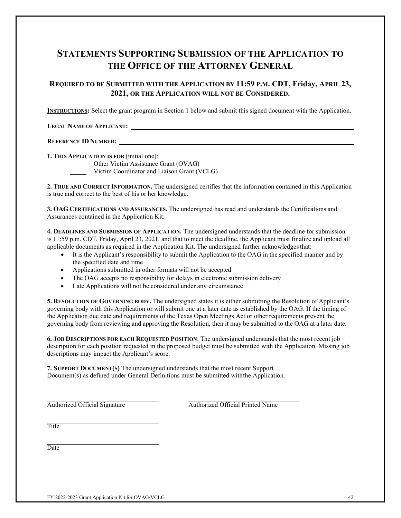# **STATEMENTS SUPPORTING SUBMISSION OF THE APPLICATION TO THE OFFICE OF THE ATTORNEY GENERAL**

#### **REQUIRED TO BE SUBMITTED WITH THE APPLICATION BY 11:59 P.M. CDT, Friday, APRIL 23, 2021, OR THE APPLICATION WILL NOT BE CONSIDERED.**

**INSTRUCTIONS:** Select the grant program in Section 1 below and submit this signed document with the Application.

#### **LEGAL NAME OF APPLICANT:**

#### **REFERENCE ID NUMBER:**

**1. THIS APPLICATION IS FOR** (initial one):

Other Victim Assistance Grant (OVAG)

Victim Coordinator and Liaison Grant (VCLG)

**2. TRUE AND CORRECT INFORMATION.** The undersigned certifies that the information contained in this Application is true and correct to the best of his or her knowledge.

**3. OAG CERTIFICATIONS AND ASSURANCES.** The undersigned has read and understands the Certifications and Assurances contained in the Application Kit.

**4. DEADLINES AND SUBMISSION OF APPLICATION.** The undersigned understands that the deadline for submission is 11:59 p.m. CDT, Friday, April 23, 2021, and that to meet the deadline, the Applicant must finalize and upload all applicable documents as required in the Application Kit. The undersigned further acknowledgesthat:

- It is the Applicant's responsibility to submit the Application to the OAG in the specified manner and by the specified date and time
- Applications submitted in other formats will not be accepted
- The OAG accepts no responsibility for delays in electronic submission delivery
- Late Applications will not be considered under any circumstance

**5. RESOLUTION OF GOVERNING BODY.** The undersigned states it is either submitting the Resolution of Applicant's governing body with this Application or will submit one at a later date as established by the OAG. If the timing of the Application due date and requirements of the Texas Open Meetings Act or other requirements prevent the governing body from reviewing and approving the Resolution, then it may be submitted to the OAG at a later date.

**6. JOB DESCRIPTIONS FOR EACH REQUESTED POSITION**. The undersigned understands that the most recent job description for each position requested in the proposed budget must be submitted with the Application. Missing job descriptions may impact the Applicant's score.

**7. SUPPORT DOCUMENT(S)** The undersigned understands that the most recent Support Document(s) as defined under General Definitions must be submitted withthe Application.

Authorized Official Signature Authorized Official Printed Name

**Title** 

**Date**